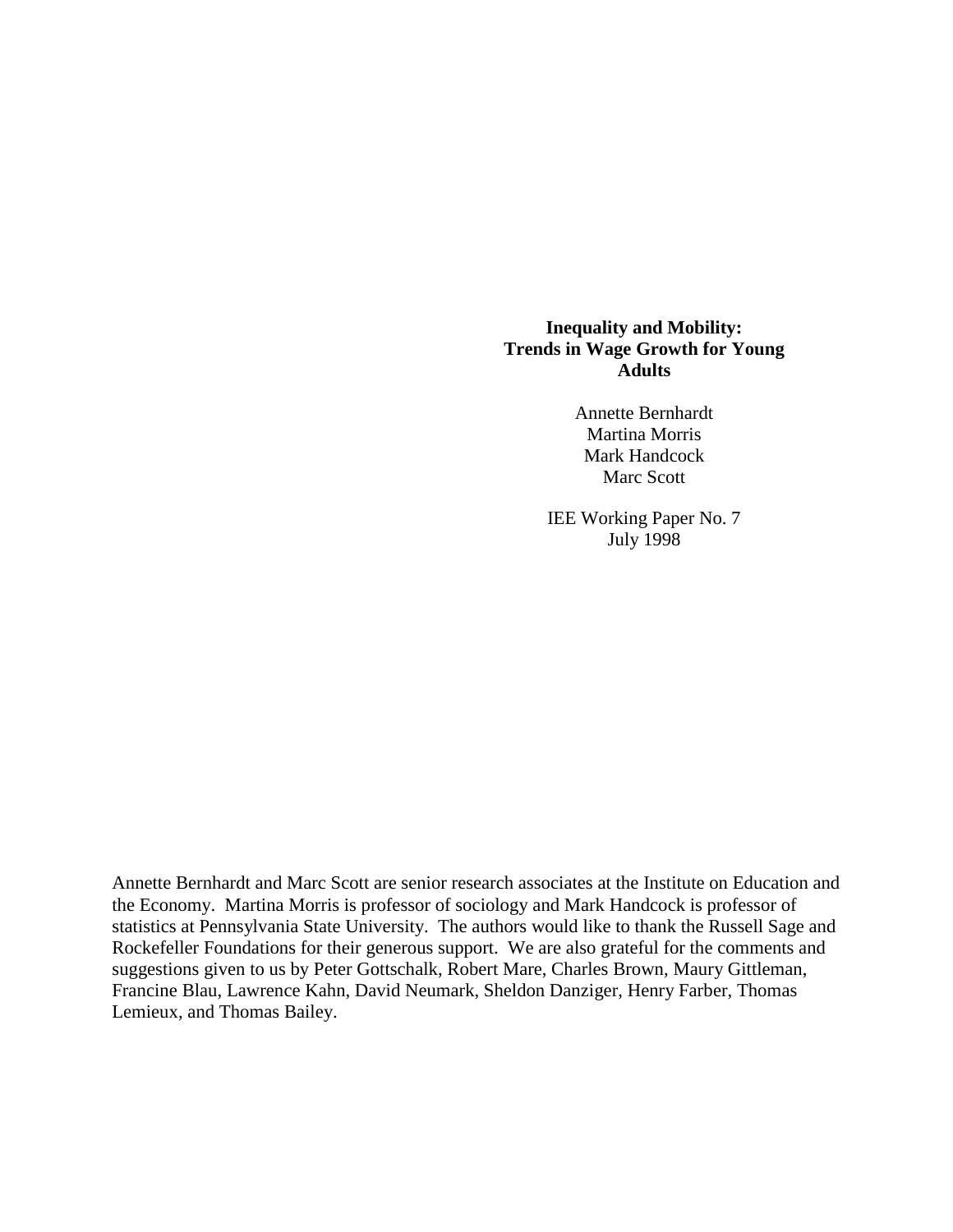## **Inequality and Mobility: Trends in Wage Growth for Young Adults**

Annette Bernhardt Martina Morris Mark Handcock Marc Scott

IEE Working Paper No. 7 July 1998

Annette Bernhardt and Marc Scott are senior research associates at the Institute on Education and the Economy. Martina Morris is professor of sociology and Mark Handcock is professor of statistics at Pennsylvania State University. The authors would like to thank the Russell Sage and Rockefeller Foundations for their generous support. We are also grateful for the comments and suggestions given to us by Peter Gottschalk, Robert Mare, Charles Brown, Maury Gittleman, Francine Blau, Lawrence Kahn, David Neumark, Sheldon Danziger, Henry Farber, Thomas Lemieux, and Thomas Bailey.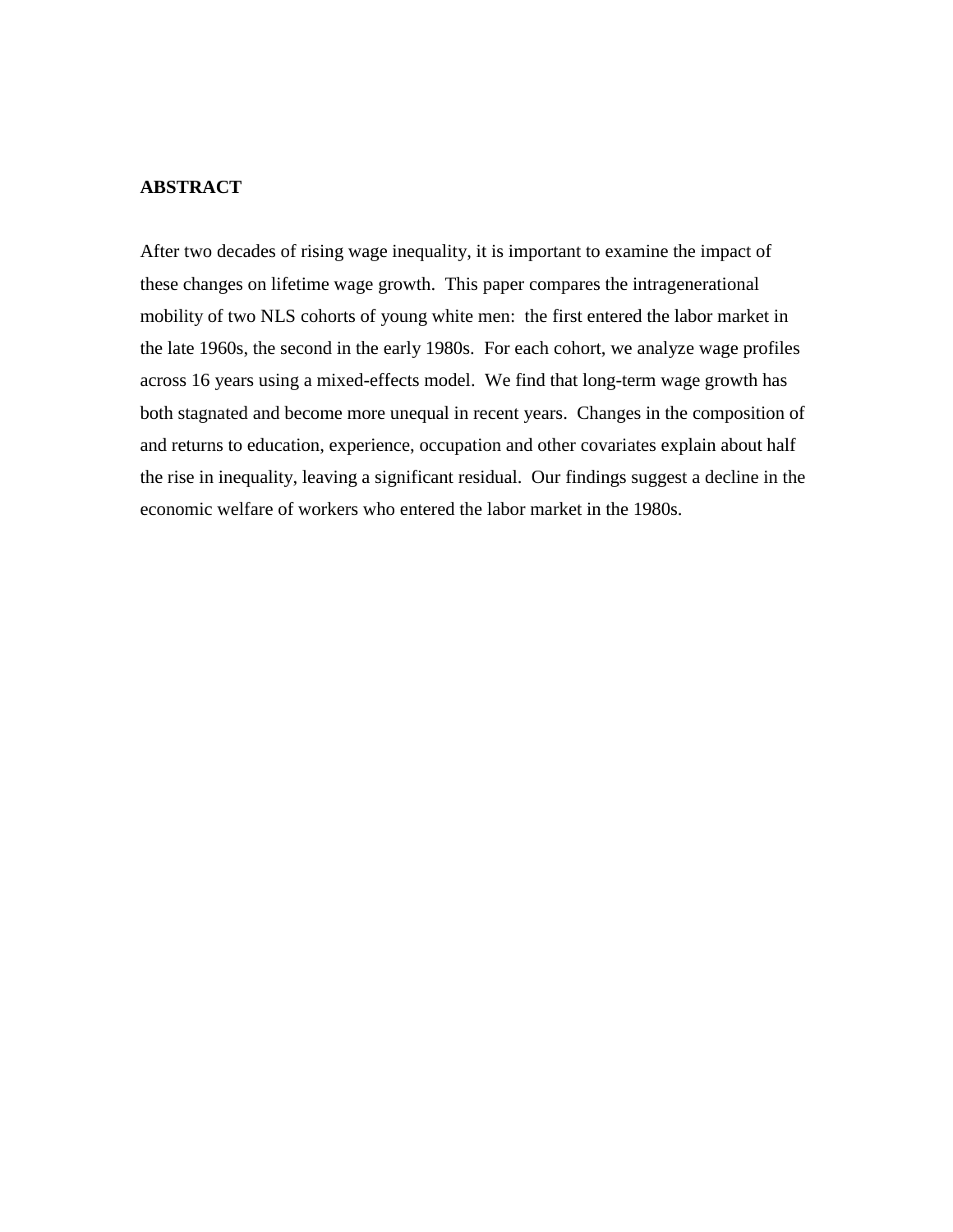### **ABSTRACT**

After two decades of rising wage inequality, it is important to examine the impact of these changes on lifetime wage growth. This paper compares the intragenerational mobility of two NLS cohorts of young white men: the first entered the labor market in the late 1960s, the second in the early 1980s. For each cohort, we analyze wage profiles across 16 years using a mixed-effects model. We find that long-term wage growth has both stagnated and become more unequal in recent years. Changes in the composition of and returns to education, experience, occupation and other covariates explain about half the rise in inequality, leaving a significant residual. Our findings suggest a decline in the economic welfare of workers who entered the labor market in the 1980s.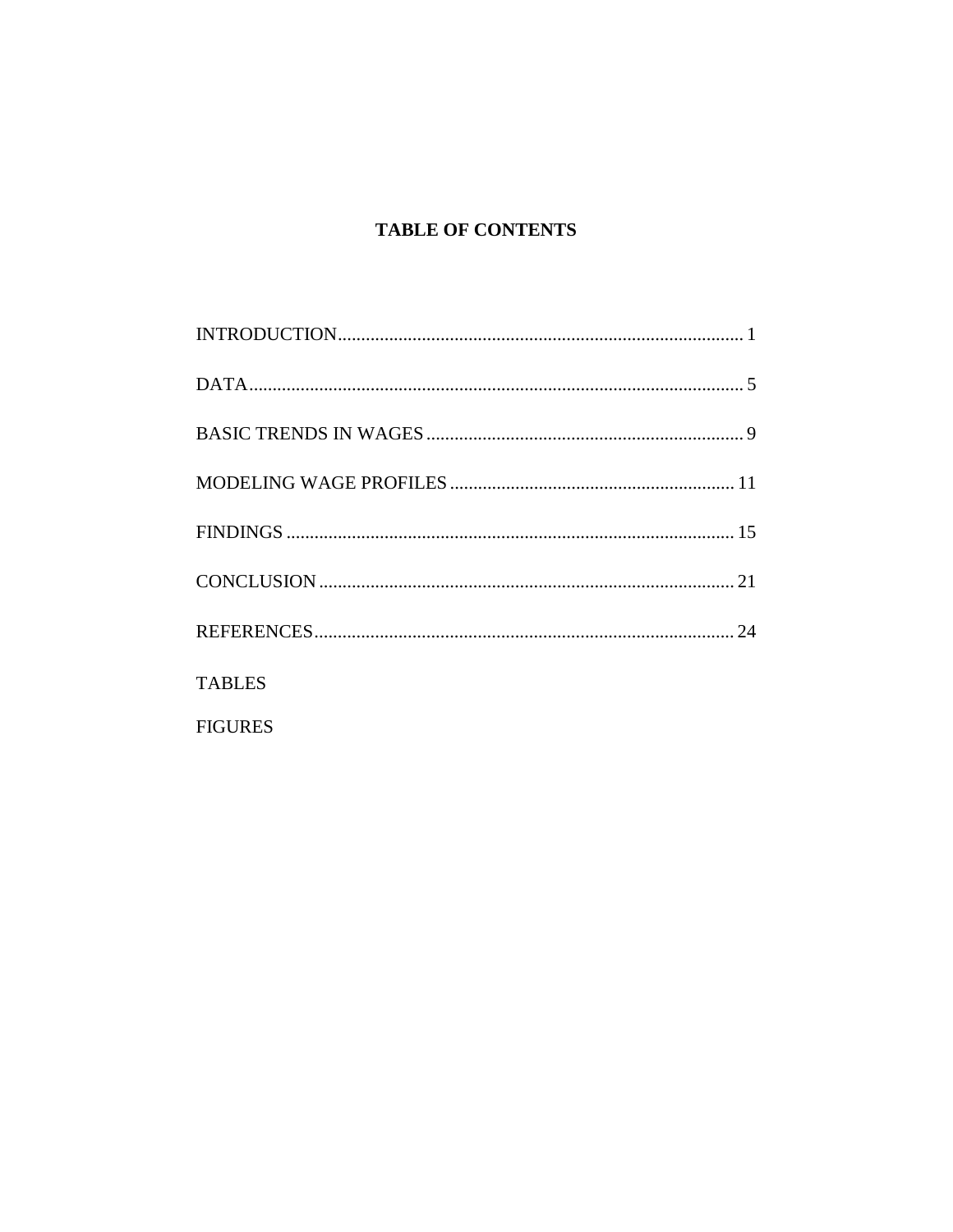## **TABLE OF CONTENTS**

| <b>TABLES</b>  |
|----------------|
| <b>FIGURES</b> |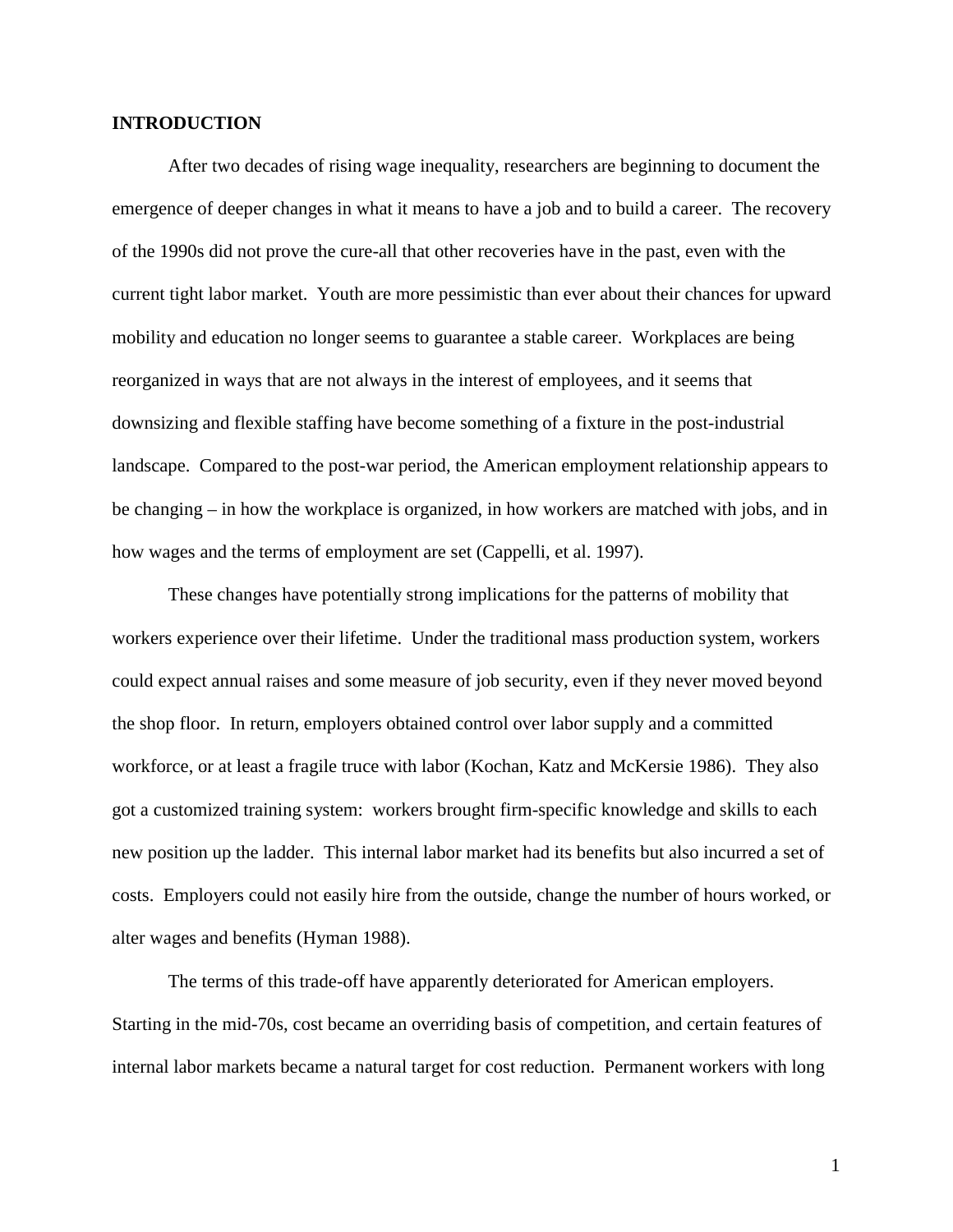### **INTRODUCTION**

After two decades of rising wage inequality, researchers are beginning to document the emergence of deeper changes in what it means to have a job and to build a career. The recovery of the 1990s did not prove the cure-all that other recoveries have in the past, even with the current tight labor market. Youth are more pessimistic than ever about their chances for upward mobility and education no longer seems to guarantee a stable career. Workplaces are being reorganized in ways that are not always in the interest of employees, and it seems that downsizing and flexible staffing have become something of a fixture in the post-industrial landscape. Compared to the post-war period, the American employment relationship appears to be changing – in how the workplace is organized, in how workers are matched with jobs, and in how wages and the terms of employment are set (Cappelli, et al. 1997).

These changes have potentially strong implications for the patterns of mobility that workers experience over their lifetime. Under the traditional mass production system, workers could expect annual raises and some measure of job security, even if they never moved beyond the shop floor. In return, employers obtained control over labor supply and a committed workforce, or at least a fragile truce with labor (Kochan, Katz and McKersie 1986). They also got a customized training system: workers brought firm-specific knowledge and skills to each new position up the ladder. This internal labor market had its benefits but also incurred a set of costs. Employers could not easily hire from the outside, change the number of hours worked, or alter wages and benefits (Hyman 1988).

The terms of this trade-off have apparently deteriorated for American employers. Starting in the mid-70s, cost became an overriding basis of competition, and certain features of internal labor markets became a natural target for cost reduction. Permanent workers with long

1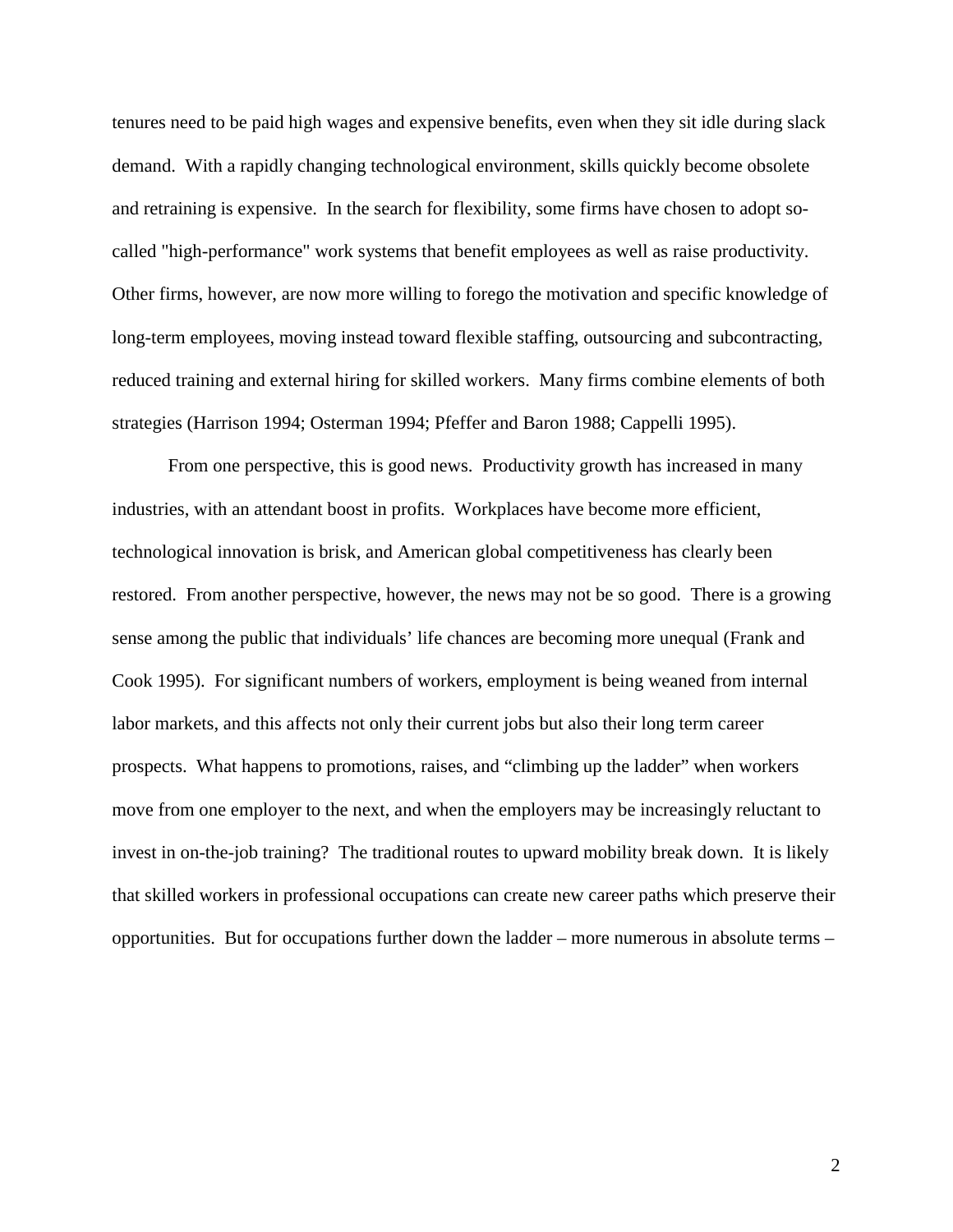tenures need to be paid high wages and expensive benefits, even when they sit idle during slack demand. With a rapidly changing technological environment, skills quickly become obsolete and retraining is expensive. In the search for flexibility, some firms have chosen to adopt socalled "high-performance" work systems that benefit employees as well as raise productivity. Other firms, however, are now more willing to forego the motivation and specific knowledge of long-term employees, moving instead toward flexible staffing, outsourcing and subcontracting, reduced training and external hiring for skilled workers. Many firms combine elements of both strategies (Harrison 1994; Osterman 1994; Pfeffer and Baron 1988; Cappelli 1995).

From one perspective, this is good news. Productivity growth has increased in many industries, with an attendant boost in profits. Workplaces have become more efficient, technological innovation is brisk, and American global competitiveness has clearly been restored. From another perspective, however, the news may not be so good. There is a growing sense among the public that individuals' life chances are becoming more unequal (Frank and Cook 1995). For significant numbers of workers, employment is being weaned from internal labor markets, and this affects not only their current jobs but also their long term career prospects. What happens to promotions, raises, and "climbing up the ladder" when workers move from one employer to the next, and when the employers may be increasingly reluctant to invest in on-the-job training? The traditional routes to upward mobility break down. It is likely that skilled workers in professional occupations can create new career paths which preserve their opportunities. But for occupations further down the ladder – more numerous in absolute terms –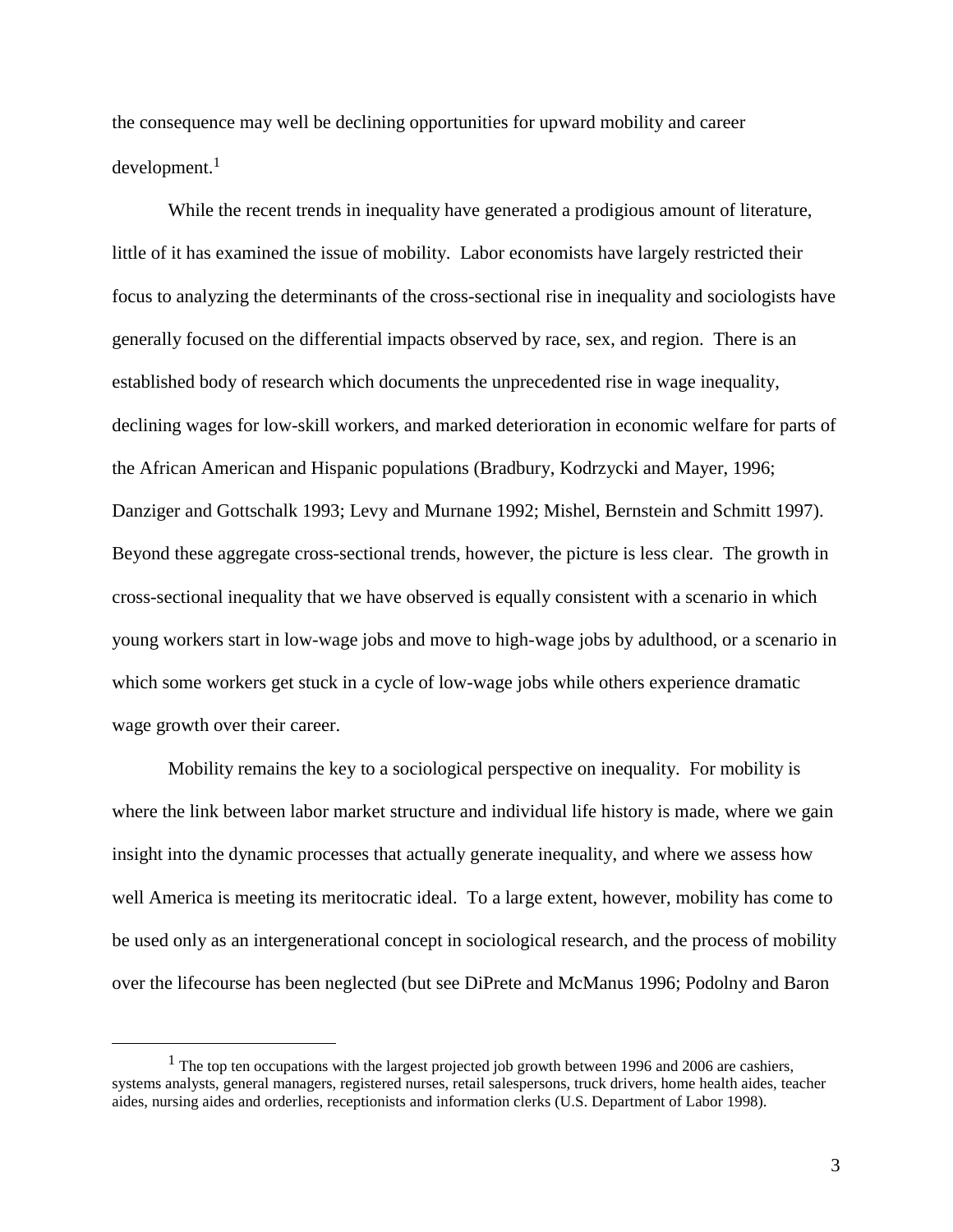the consequence may well be declining opportunities for upward mobility and career development.<sup>1</sup>

While the recent trends in inequality have generated a prodigious amount of literature, little of it has examined the issue of mobility. Labor economists have largely restricted their focus to analyzing the determinants of the cross-sectional rise in inequality and sociologists have generally focused on the differential impacts observed by race, sex, and region. There is an established body of research which documents the unprecedented rise in wage inequality, declining wages for low-skill workers, and marked deterioration in economic welfare for parts of the African American and Hispanic populations (Bradbury, Kodrzycki and Mayer, 1996; Danziger and Gottschalk 1993; Levy and Murnane 1992; Mishel, Bernstein and Schmitt 1997). Beyond these aggregate cross-sectional trends, however, the picture is less clear. The growth in cross-sectional inequality that we have observed is equally consistent with a scenario in which young workers start in low-wage jobs and move to high-wage jobs by adulthood, or a scenario in which some workers get stuck in a cycle of low-wage jobs while others experience dramatic wage growth over their career.

Mobility remains the key to a sociological perspective on inequality. For mobility is where the link between labor market structure and individual life history is made, where we gain insight into the dynamic processes that actually generate inequality, and where we assess how well America is meeting its meritocratic ideal. To a large extent, however, mobility has come to be used only as an intergenerational concept in sociological research, and the process of mobility over the lifecourse has been neglected (but see DiPrete and McManus 1996; Podolny and Baron

 $<sup>1</sup>$  The top ten occupations with the largest projected job growth between 1996 and 2006 are cashiers,</sup> systems analysts, general managers, registered nurses, retail salespersons, truck drivers, home health aides, teacher aides, nursing aides and orderlies, receptionists and information clerks (U.S. Department of Labor 1998).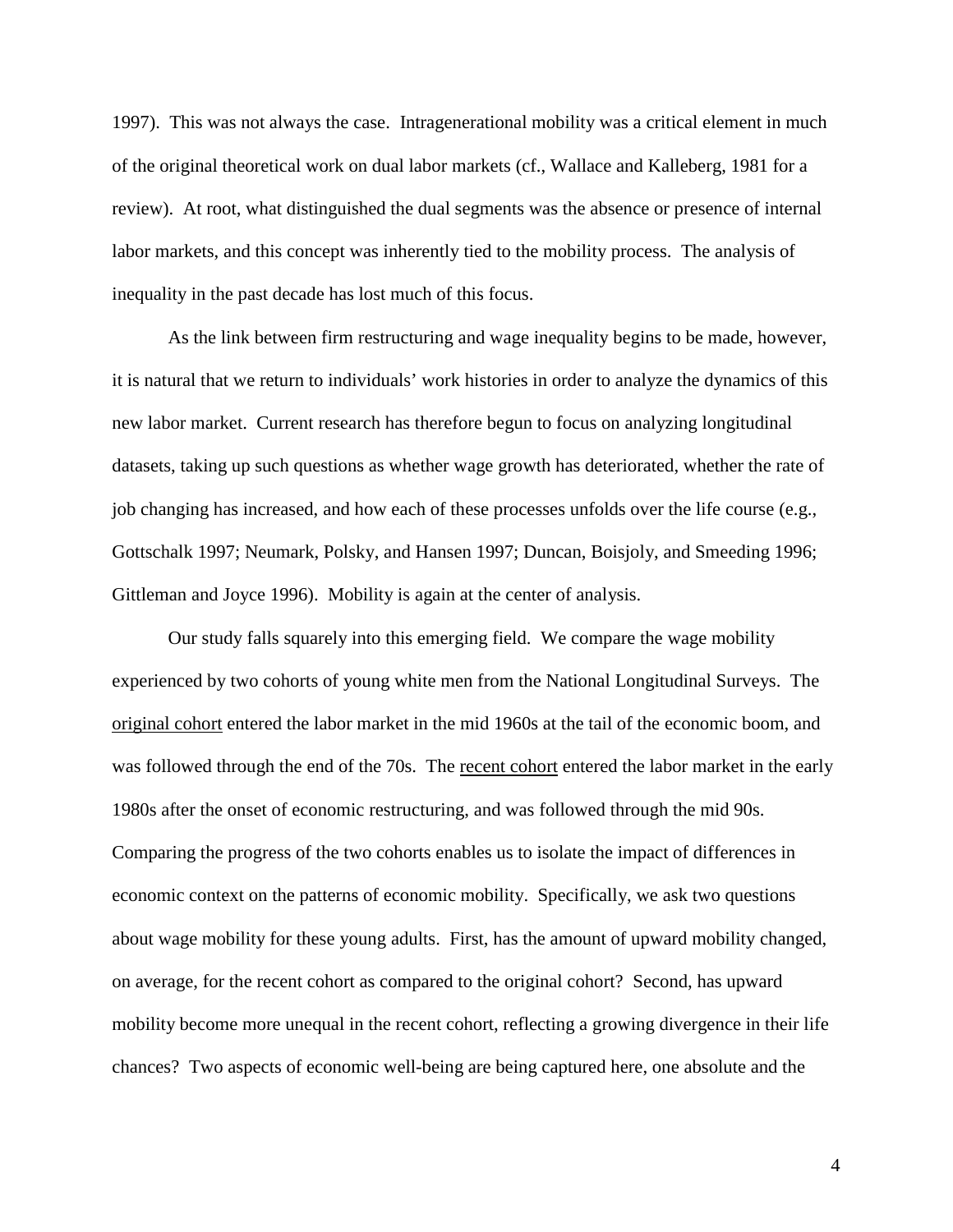1997). This was not always the case. Intragenerational mobility was a critical element in much of the original theoretical work on dual labor markets (cf., Wallace and Kalleberg, 1981 for a review). At root, what distinguished the dual segments was the absence or presence of internal labor markets, and this concept was inherently tied to the mobility process. The analysis of inequality in the past decade has lost much of this focus.

As the link between firm restructuring and wage inequality begins to be made, however, it is natural that we return to individuals' work histories in order to analyze the dynamics of this new labor market. Current research has therefore begun to focus on analyzing longitudinal datasets, taking up such questions as whether wage growth has deteriorated, whether the rate of job changing has increased, and how each of these processes unfolds over the life course (e.g., Gottschalk 1997; Neumark, Polsky, and Hansen 1997; Duncan, Boisjoly, and Smeeding 1996; Gittleman and Joyce 1996). Mobility is again at the center of analysis.

Our study falls squarely into this emerging field. We compare the wage mobility experienced by two cohorts of young white men from the National Longitudinal Surveys. The original cohort entered the labor market in the mid 1960s at the tail of the economic boom, and was followed through the end of the 70s. The recent cohort entered the labor market in the early 1980s after the onset of economic restructuring, and was followed through the mid 90s. Comparing the progress of the two cohorts enables us to isolate the impact of differences in economic context on the patterns of economic mobility. Specifically, we ask two questions about wage mobility for these young adults. First, has the amount of upward mobility changed, on average, for the recent cohort as compared to the original cohort? Second, has upward mobility become more unequal in the recent cohort, reflecting a growing divergence in their life chances? Two aspects of economic well-being are being captured here, one absolute and the

4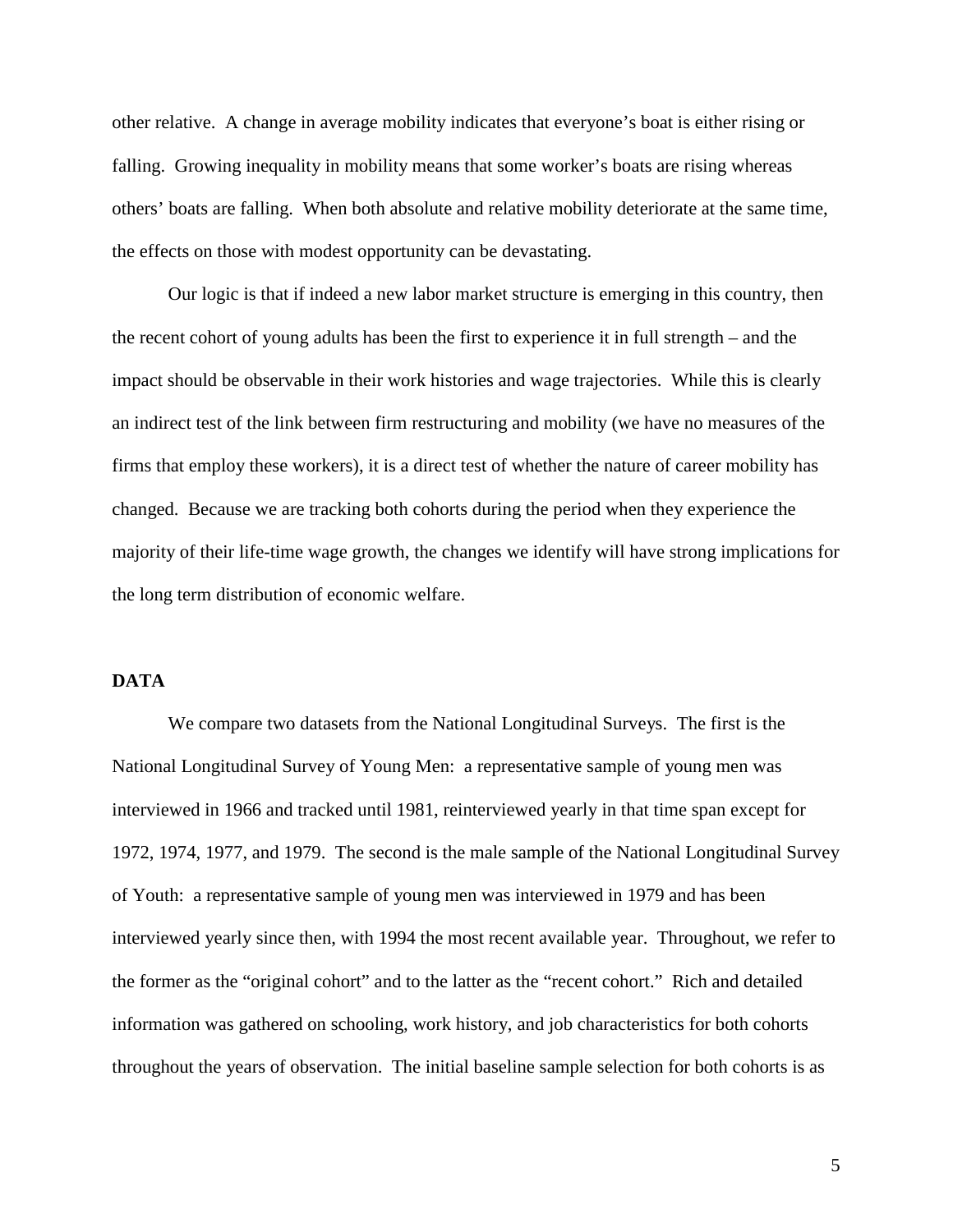other relative. A change in average mobility indicates that everyone's boat is either rising or falling. Growing inequality in mobility means that some worker's boats are rising whereas others' boats are falling. When both absolute and relative mobility deteriorate at the same time, the effects on those with modest opportunity can be devastating.

Our logic is that if indeed a new labor market structure is emerging in this country, then the recent cohort of young adults has been the first to experience it in full strength – and the impact should be observable in their work histories and wage trajectories. While this is clearly an indirect test of the link between firm restructuring and mobility (we have no measures of the firms that employ these workers), it is a direct test of whether the nature of career mobility has changed. Because we are tracking both cohorts during the period when they experience the majority of their life-time wage growth, the changes we identify will have strong implications for the long term distribution of economic welfare.

## **DATA**

We compare two datasets from the National Longitudinal Surveys. The first is the National Longitudinal Survey of Young Men: a representative sample of young men was interviewed in 1966 and tracked until 1981, reinterviewed yearly in that time span except for 1972, 1974, 1977, and 1979. The second is the male sample of the National Longitudinal Survey of Youth: a representative sample of young men was interviewed in 1979 and has been interviewed yearly since then, with 1994 the most recent available year. Throughout, we refer to the former as the "original cohort" and to the latter as the "recent cohort." Rich and detailed information was gathered on schooling, work history, and job characteristics for both cohorts throughout the years of observation. The initial baseline sample selection for both cohorts is as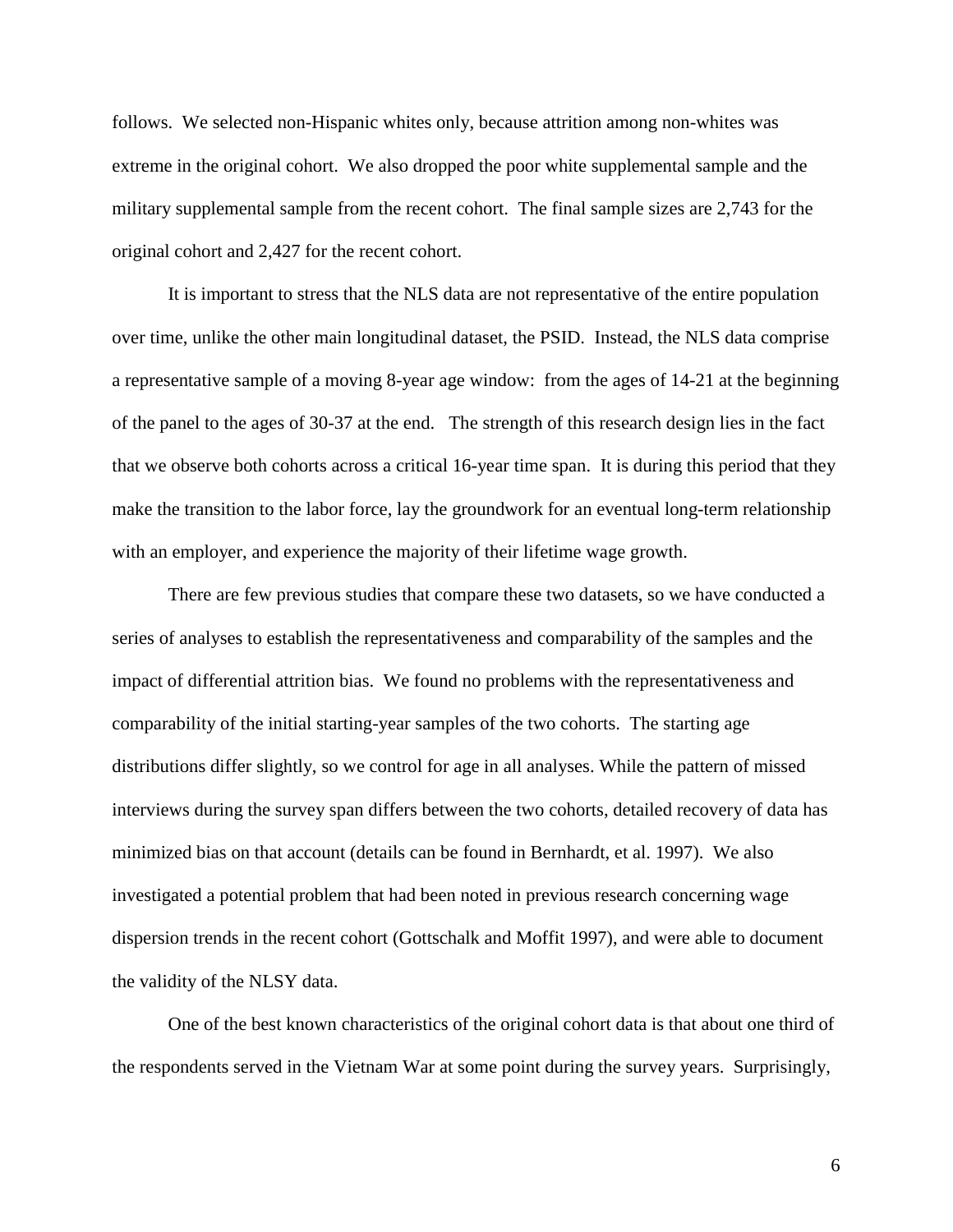follows. We selected non-Hispanic whites only, because attrition among non-whites was extreme in the original cohort. We also dropped the poor white supplemental sample and the military supplemental sample from the recent cohort. The final sample sizes are 2,743 for the original cohort and 2,427 for the recent cohort.

It is important to stress that the NLS data are not representative of the entire population over time, unlike the other main longitudinal dataset, the PSID. Instead, the NLS data comprise a representative sample of a moving 8-year age window: from the ages of 14-21 at the beginning of the panel to the ages of 30-37 at the end. The strength of this research design lies in the fact that we observe both cohorts across a critical 16-year time span. It is during this period that they make the transition to the labor force, lay the groundwork for an eventual long-term relationship with an employer, and experience the majority of their lifetime wage growth.

There are few previous studies that compare these two datasets, so we have conducted a series of analyses to establish the representativeness and comparability of the samples and the impact of differential attrition bias. We found no problems with the representativeness and comparability of the initial starting-year samples of the two cohorts. The starting age distributions differ slightly, so we control for age in all analyses. While the pattern of missed interviews during the survey span differs between the two cohorts, detailed recovery of data has minimized bias on that account (details can be found in Bernhardt, et al. 1997). We also investigated a potential problem that had been noted in previous research concerning wage dispersion trends in the recent cohort (Gottschalk and Moffit 1997), and were able to document the validity of the NLSY data.

One of the best known characteristics of the original cohort data is that about one third of the respondents served in the Vietnam War at some point during the survey years. Surprisingly,

6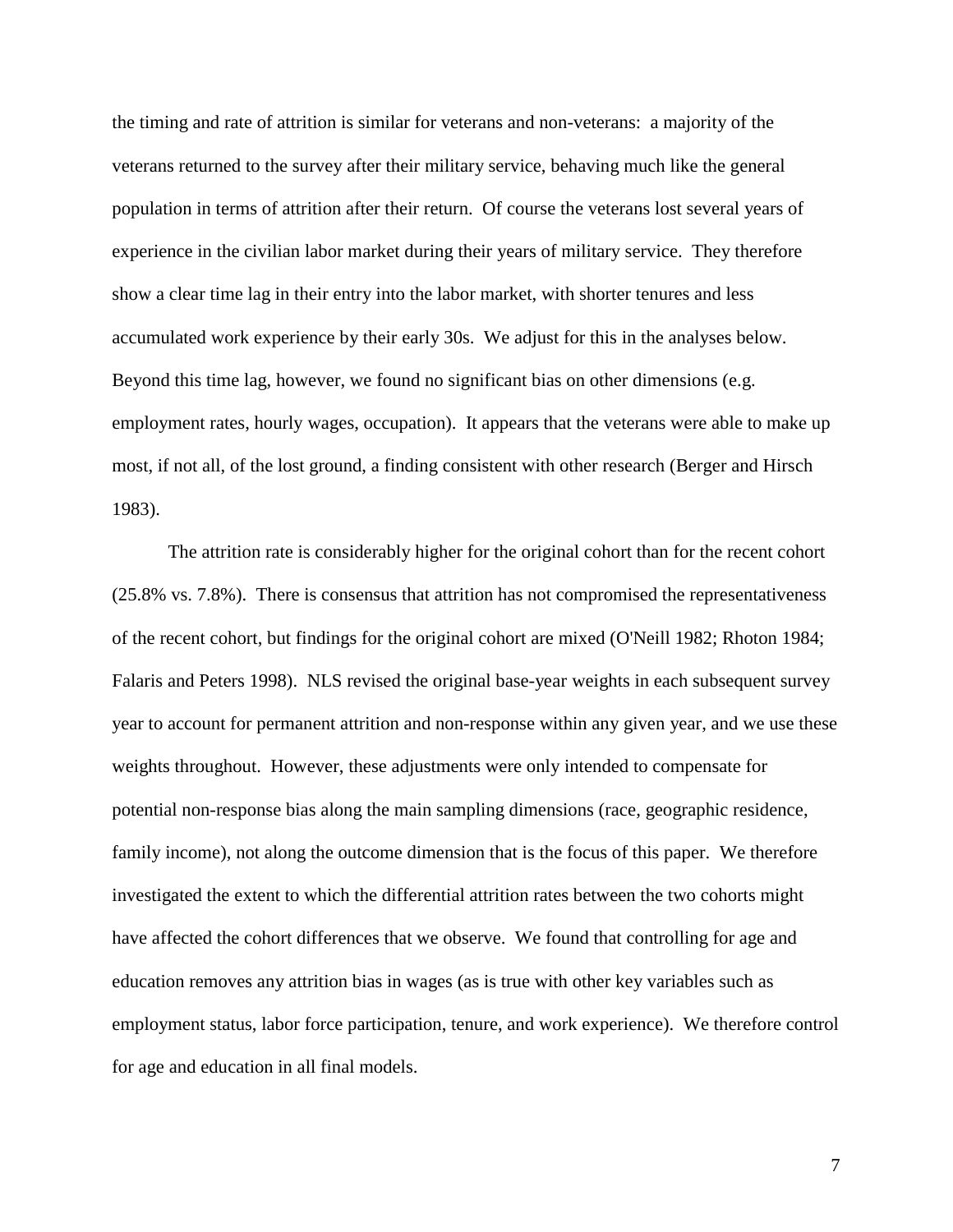the timing and rate of attrition is similar for veterans and non-veterans: a majority of the veterans returned to the survey after their military service, behaving much like the general population in terms of attrition after their return. Of course the veterans lost several years of experience in the civilian labor market during their years of military service. They therefore show a clear time lag in their entry into the labor market, with shorter tenures and less accumulated work experience by their early 30s. We adjust for this in the analyses below. Beyond this time lag, however, we found no significant bias on other dimensions (e.g. employment rates, hourly wages, occupation). It appears that the veterans were able to make up most, if not all, of the lost ground, a finding consistent with other research (Berger and Hirsch 1983).

The attrition rate is considerably higher for the original cohort than for the recent cohort (25.8% vs. 7.8%). There is consensus that attrition has not compromised the representativeness of the recent cohort, but findings for the original cohort are mixed (O'Neill 1982; Rhoton 1984; Falaris and Peters 1998). NLS revised the original base-year weights in each subsequent survey year to account for permanent attrition and non-response within any given year, and we use these weights throughout. However, these adjustments were only intended to compensate for potential non-response bias along the main sampling dimensions (race, geographic residence, family income), not along the outcome dimension that is the focus of this paper. We therefore investigated the extent to which the differential attrition rates between the two cohorts might have affected the cohort differences that we observe. We found that controlling for age and education removes any attrition bias in wages (as is true with other key variables such as employment status, labor force participation, tenure, and work experience). We therefore control for age and education in all final models.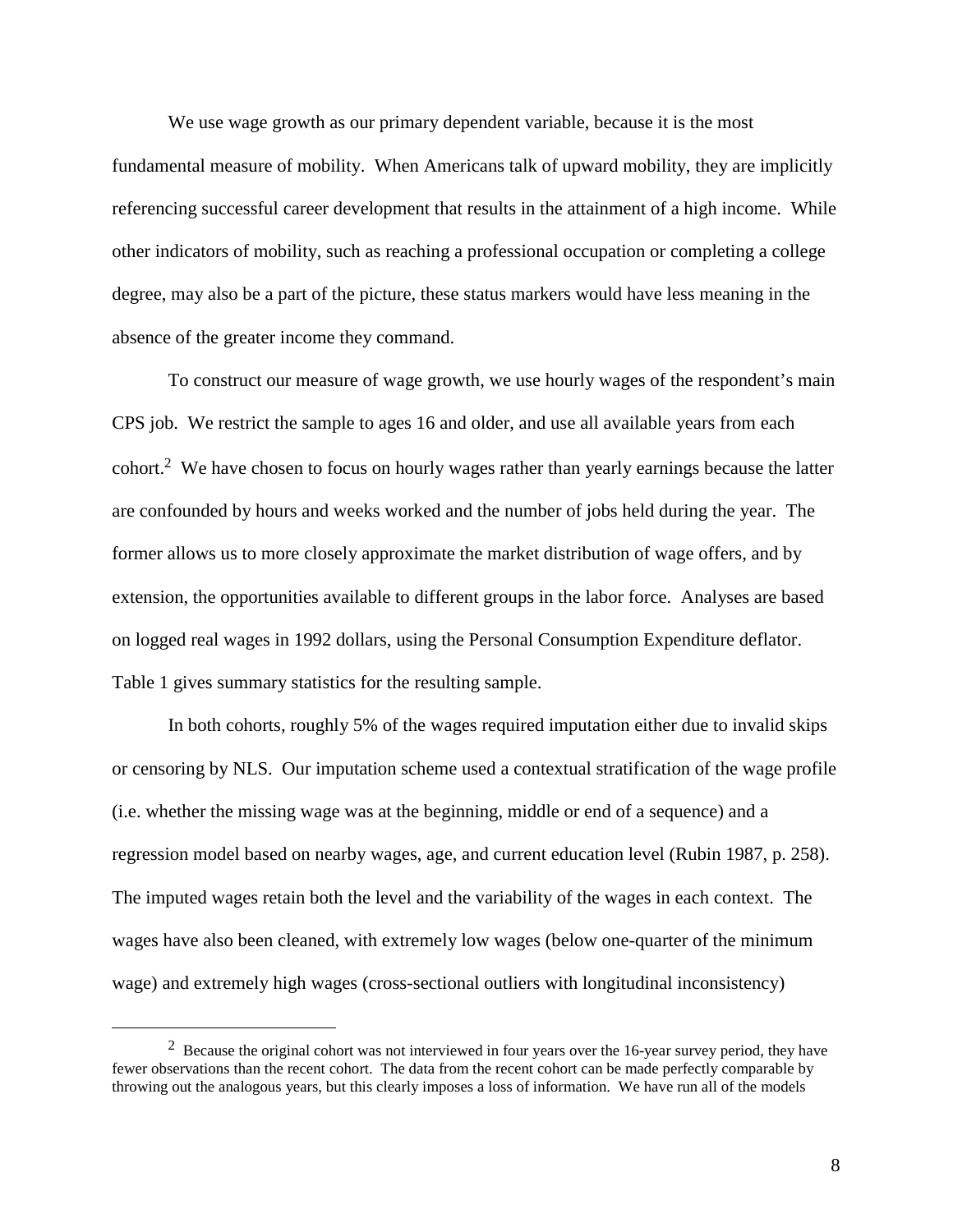We use wage growth as our primary dependent variable, because it is the most fundamental measure of mobility. When Americans talk of upward mobility, they are implicitly referencing successful career development that results in the attainment of a high income. While other indicators of mobility, such as reaching a professional occupation or completing a college degree, may also be a part of the picture, these status markers would have less meaning in the absence of the greater income they command.

To construct our measure of wage growth, we use hourly wages of the respondent's main CPS job. We restrict the sample to ages 16 and older, and use all available years from each cohort.2 We have chosen to focus on hourly wages rather than yearly earnings because the latter are confounded by hours and weeks worked and the number of jobs held during the year. The former allows us to more closely approximate the market distribution of wage offers, and by extension, the opportunities available to different groups in the labor force. Analyses are based on logged real wages in 1992 dollars, using the Personal Consumption Expenditure deflator. Table 1 gives summary statistics for the resulting sample.

In both cohorts, roughly 5% of the wages required imputation either due to invalid skips or censoring by NLS. Our imputation scheme used a contextual stratification of the wage profile (i.e. whether the missing wage was at the beginning, middle or end of a sequence) and a regression model based on nearby wages, age, and current education level (Rubin 1987, p. 258). The imputed wages retain both the level and the variability of the wages in each context. The wages have also been cleaned, with extremely low wages (below one-quarter of the minimum wage) and extremely high wages (cross-sectional outliers with longitudinal inconsistency)

 $2$  Because the original cohort was not interviewed in four years over the 16-year survey period, they have fewer observations than the recent cohort. The data from the recent cohort can be made perfectly comparable by throwing out the analogous years, but this clearly imposes a loss of information. We have run all of the models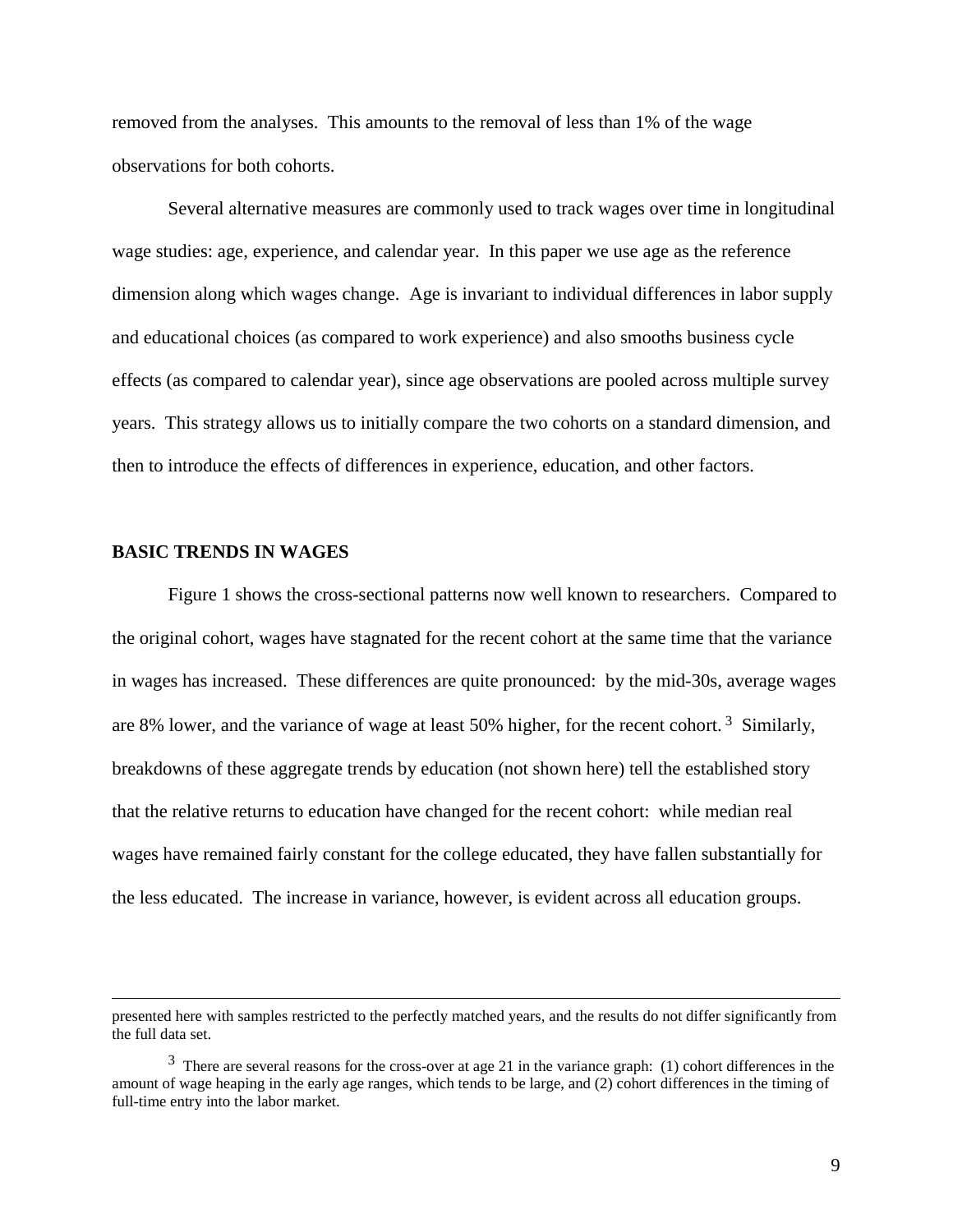removed from the analyses. This amounts to the removal of less than 1% of the wage observations for both cohorts.

Several alternative measures are commonly used to track wages over time in longitudinal wage studies: age, experience, and calendar year. In this paper we use age as the reference dimension along which wages change. Age is invariant to individual differences in labor supply and educational choices (as compared to work experience) and also smooths business cycle effects (as compared to calendar year), since age observations are pooled across multiple survey years. This strategy allows us to initially compare the two cohorts on a standard dimension, and then to introduce the effects of differences in experience, education, and other factors.

### **BASIC TRENDS IN WAGES**

 $\overline{a}$ 

Figure 1 shows the cross-sectional patterns now well known to researchers. Compared to the original cohort, wages have stagnated for the recent cohort at the same time that the variance in wages has increased. These differences are quite pronounced: by the mid-30s, average wages are 8% lower, and the variance of wage at least 50% higher, for the recent cohort.<sup>3</sup> Similarly, breakdowns of these aggregate trends by education (not shown here) tell the established story that the relative returns to education have changed for the recent cohort: while median real wages have remained fairly constant for the college educated, they have fallen substantially for the less educated. The increase in variance, however, is evident across all education groups.

presented here with samples restricted to the perfectly matched years, and the results do not differ significantly from the full data set.

 $3$  There are several reasons for the cross-over at age 21 in the variance graph: (1) cohort differences in the amount of wage heaping in the early age ranges, which tends to be large, and (2) cohort differences in the timing of full-time entry into the labor market.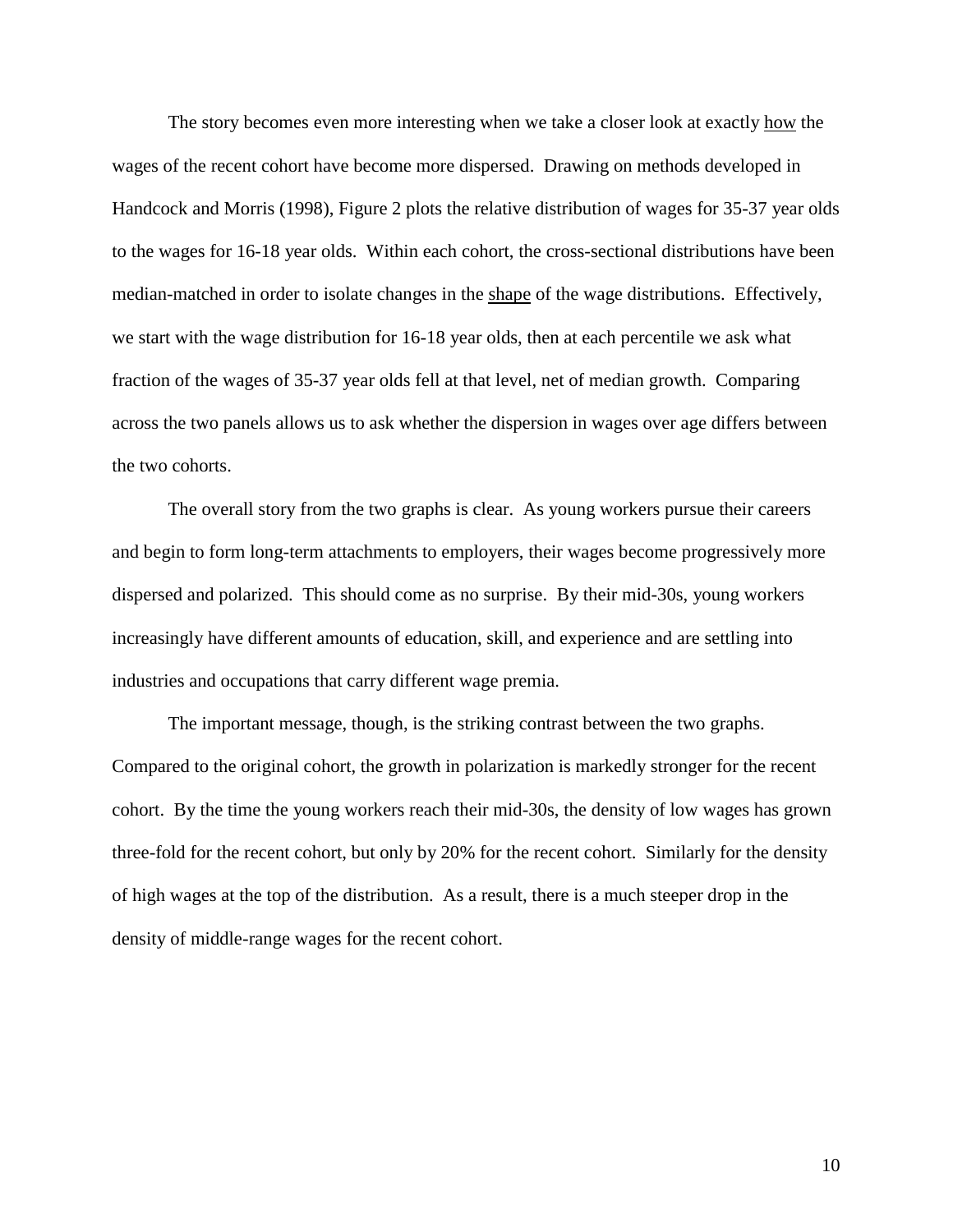The story becomes even more interesting when we take a closer look at exactly how the wages of the recent cohort have become more dispersed. Drawing on methods developed in Handcock and Morris (1998), Figure 2 plots the relative distribution of wages for 35-37 year olds to the wages for 16-18 year olds. Within each cohort, the cross-sectional distributions have been median-matched in order to isolate changes in the shape of the wage distributions. Effectively, we start with the wage distribution for 16-18 year olds, then at each percentile we ask what fraction of the wages of 35-37 year olds fell at that level, net of median growth. Comparing across the two panels allows us to ask whether the dispersion in wages over age differs between the two cohorts.

The overall story from the two graphs is clear. As young workers pursue their careers and begin to form long-term attachments to employers, their wages become progressively more dispersed and polarized. This should come as no surprise. By their mid-30s, young workers increasingly have different amounts of education, skill, and experience and are settling into industries and occupations that carry different wage premia.

The important message, though, is the striking contrast between the two graphs. Compared to the original cohort, the growth in polarization is markedly stronger for the recent cohort. By the time the young workers reach their mid-30s, the density of low wages has grown three-fold for the recent cohort, but only by 20% for the recent cohort. Similarly for the density of high wages at the top of the distribution. As a result, there is a much steeper drop in the density of middle-range wages for the recent cohort.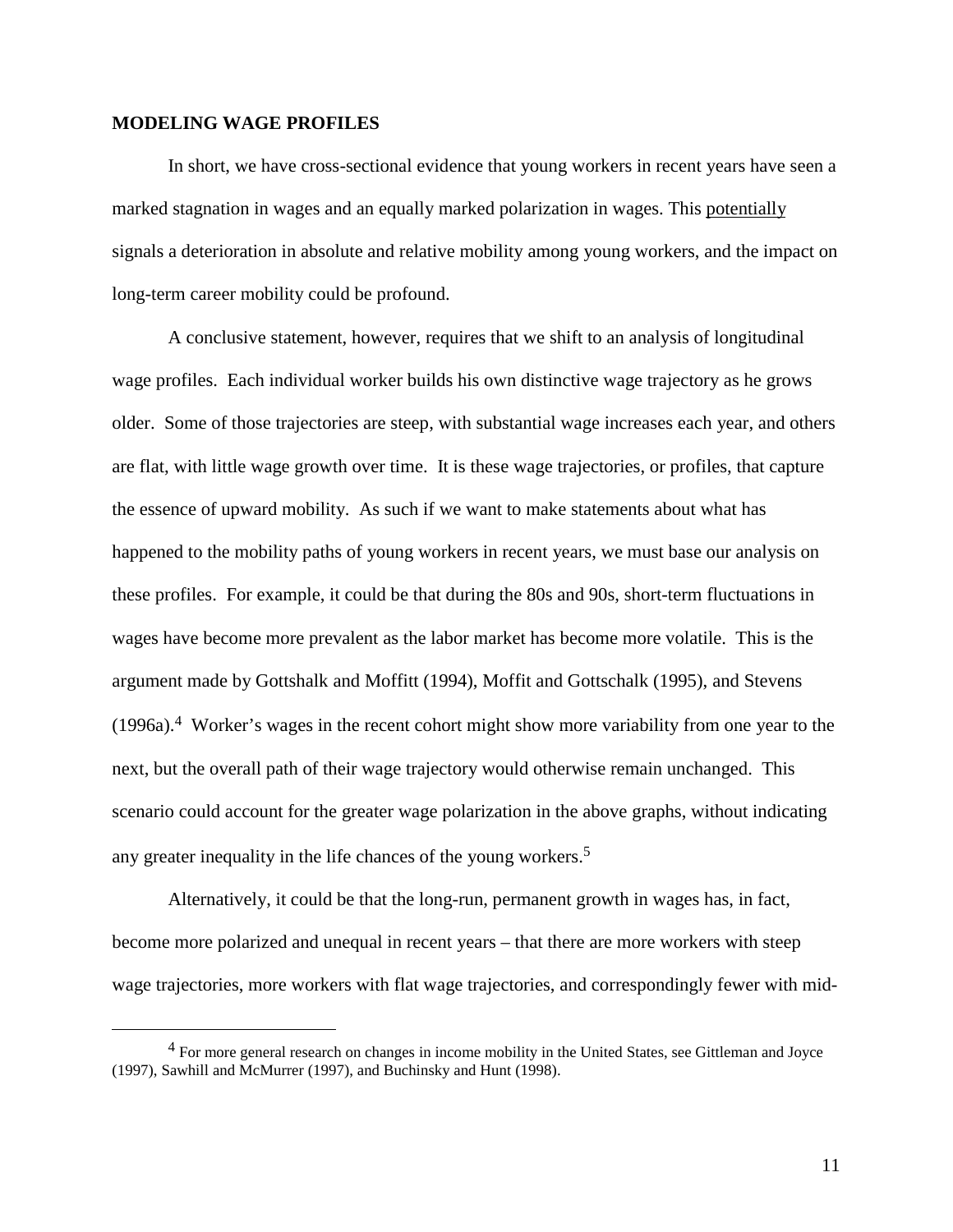### **MODELING WAGE PROFILES**

In short, we have cross-sectional evidence that young workers in recent years have seen a marked stagnation in wages and an equally marked polarization in wages. This potentially signals a deterioration in absolute and relative mobility among young workers, and the impact on long-term career mobility could be profound.

A conclusive statement, however, requires that we shift to an analysis of longitudinal wage profiles. Each individual worker builds his own distinctive wage trajectory as he grows older. Some of those trajectories are steep, with substantial wage increases each year, and others are flat, with little wage growth over time. It is these wage trajectories, or profiles, that capture the essence of upward mobility. As such if we want to make statements about what has happened to the mobility paths of young workers in recent years, we must base our analysis on these profiles. For example, it could be that during the 80s and 90s, short-term fluctuations in wages have become more prevalent as the labor market has become more volatile. This is the argument made by Gottshalk and Moffitt (1994), Moffit and Gottschalk (1995), and Stevens  $(1996a)^4$  Worker's wages in the recent cohort might show more variability from one year to the next, but the overall path of their wage trajectory would otherwise remain unchanged. This scenario could account for the greater wage polarization in the above graphs, without indicating any greater inequality in the life chances of the young workers.<sup>5</sup>

Alternatively, it could be that the long-run, permanent growth in wages has, in fact, become more polarized and unequal in recent years – that there are more workers with steep wage trajectories, more workers with flat wage trajectories, and correspondingly fewer with mid-

<sup>&</sup>lt;sup>4</sup> For more general research on changes in income mobility in the United States, see Gittleman and Joyce (1997), Sawhill and McMurrer (1997), and Buchinsky and Hunt (1998).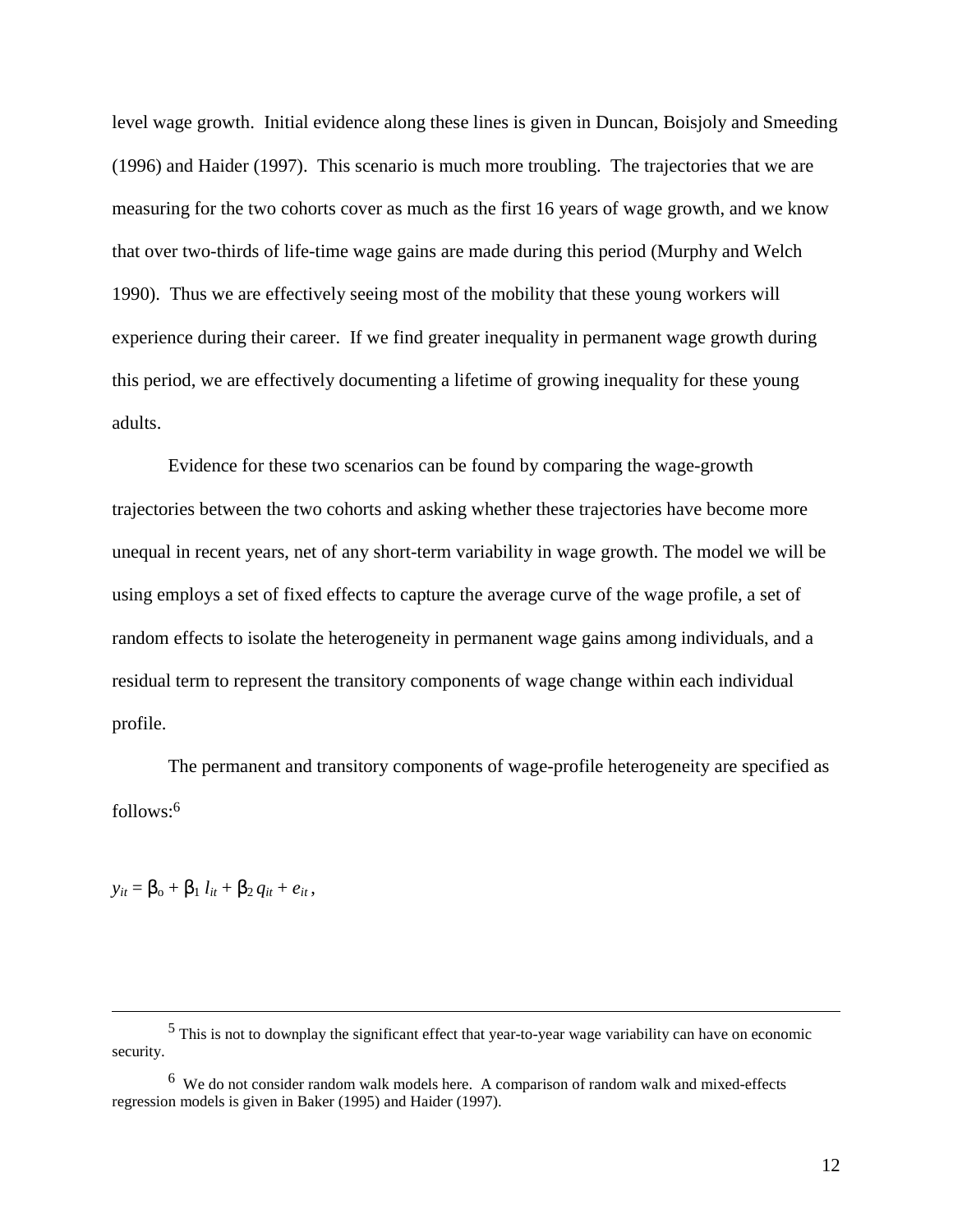level wage growth. Initial evidence along these lines is given in Duncan, Boisjoly and Smeeding (1996) and Haider (1997). This scenario is much more troubling. The trajectories that we are measuring for the two cohorts cover as much as the first 16 years of wage growth, and we know that over two-thirds of life-time wage gains are made during this period (Murphy and Welch 1990). Thus we are effectively seeing most of the mobility that these young workers will experience during their career. If we find greater inequality in permanent wage growth during this period, we are effectively documenting a lifetime of growing inequality for these young adults.

Evidence for these two scenarios can be found by comparing the wage-growth trajectories between the two cohorts and asking whether these trajectories have become more unequal in recent years, net of any short-term variability in wage growth. The model we will be using employs a set of fixed effects to capture the average curve of the wage profile, a set of random effects to isolate the heterogeneity in permanent wage gains among individuals, and a residual term to represent the transitory components of wage change within each individual profile.

The permanent and transitory components of wage-profile heterogeneity are specified as follows:<sup>6</sup>

 $y_{it} = \beta_{0} + \beta_{1} l_{it} + \beta_{2} q_{it} + e_{it}$ 

 <sup>5</sup> This is not to downplay the significant effect that year-to-year wage variability can have on economic security.

 $6\,$  We do not consider random walk models here. A comparison of random walk and mixed-effects regression models is given in Baker (1995) and Haider (1997).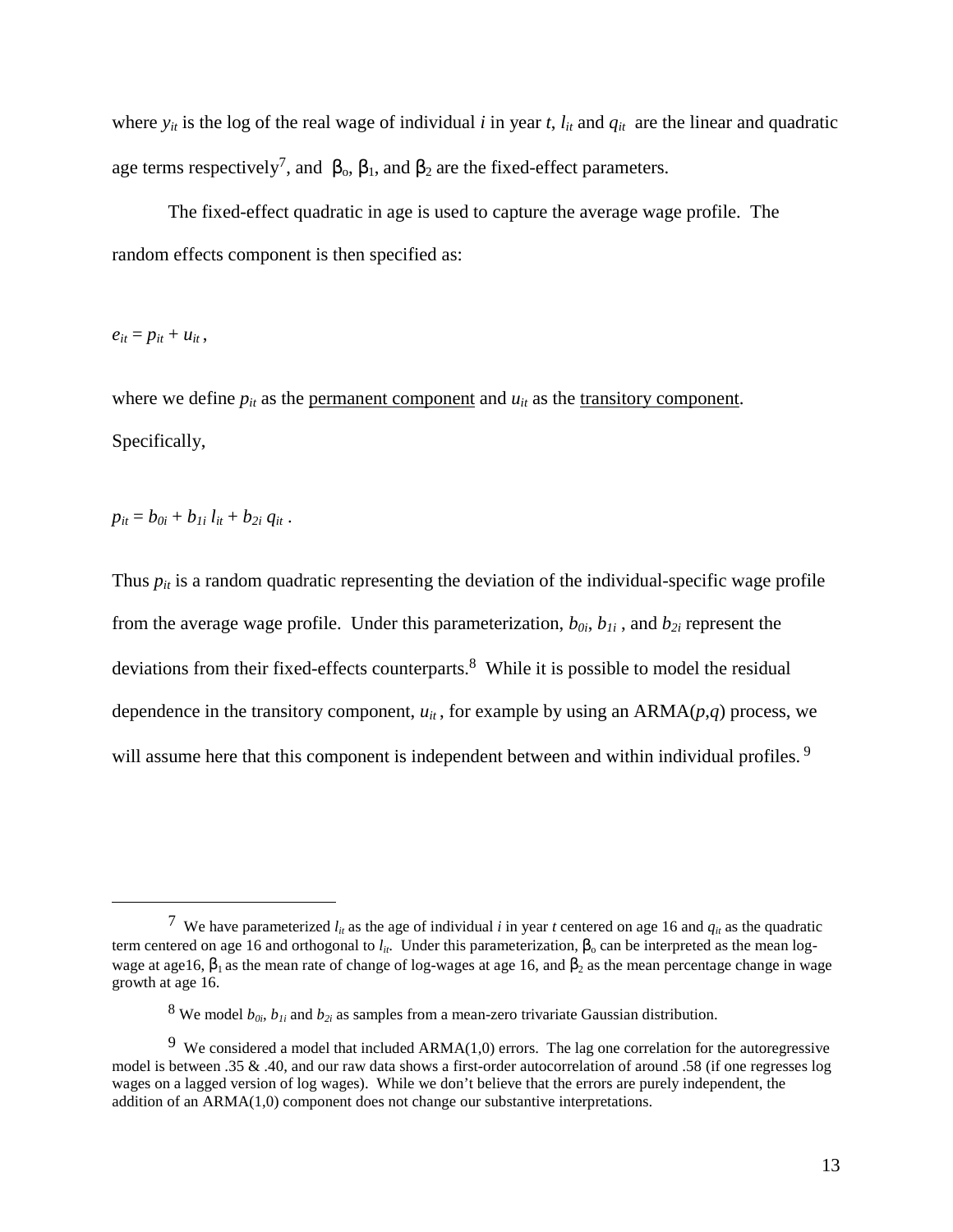where  $y_{it}$  is the log of the real wage of individual *i* in year *t*,  $l_{it}$  and  $q_{it}$  are the linear and quadratic age terms respectively<sup>7</sup>, and  $\beta_0$ ,  $\beta_1$ , and  $\beta_2$  are the fixed-effect parameters.

The fixed-effect quadratic in age is used to capture the average wage profile. The random effects component is then specified as:

 $e_{it} = p_{it} + u_{it}$ 

 $\overline{a}$ 

where we define  $p_{it}$  as the <u>permanent component</u> and  $u_{it}$  as the transitory component. Specifically,

$$
p_{it}=b_{0i}+b_{1i} l_{it}+b_{2i} q_{it}.
$$

Thus  $p_{it}$  is a random quadratic representing the deviation of the individual-specific wage profile from the average wage profile. Under this parameterization,  $b_{0i}$ ,  $b_{1i}$ , and  $b_{2i}$  represent the deviations from their fixed-effects counterparts.<sup>8</sup> While it is possible to model the residual dependence in the transitory component,  $u_{it}$ , for example by using an ARMA $(p,q)$  process, we will assume here that this component is independent between and within individual profiles.<sup>9</sup>

<sup>&</sup>lt;sup>7</sup> We have parameterized  $l_{it}$  as the age of individual *i* in year *t* centered on age 16 and  $q_{it}$  as the quadratic term centered on age 16 and orthogonal to  $l_{it}$ . Under this parameterization,  $\beta_0$  can be interpreted as the mean logwage at age16,  $\beta_1$  as the mean rate of change of log-wages at age 16, and  $\beta_2$  as the mean percentage change in wage growth at age 16.

<sup>&</sup>lt;sup>8</sup> We model  $b_{0i}$ ,  $b_{1i}$  and  $b_{2i}$  as samples from a mean-zero trivariate Gaussian distribution.

<sup>&</sup>lt;sup>9</sup> We considered a model that included ARMA $(1,0)$  errors. The lag one correlation for the autoregressive model is between .35 & .40, and our raw data shows a first-order autocorrelation of around .58 (if one regresses log wages on a lagged version of log wages). While we don't believe that the errors are purely independent, the addition of an ARMA(1,0) component does not change our substantive interpretations.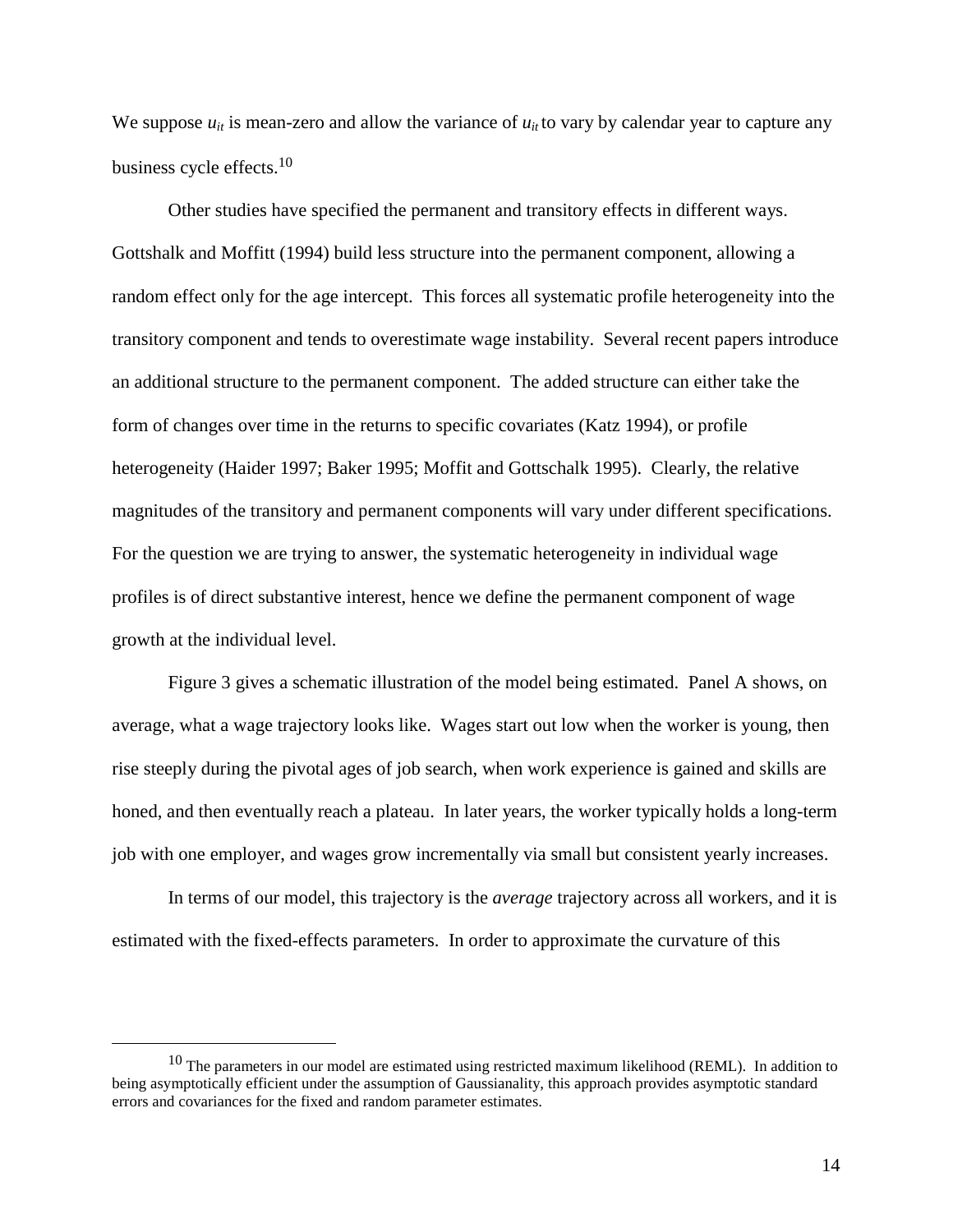We suppose  $u_{it}$  is mean-zero and allow the variance of  $u_{it}$  to vary by calendar year to capture any business cycle effects.<sup>10</sup>

Other studies have specified the permanent and transitory effects in different ways. Gottshalk and Moffitt (1994) build less structure into the permanent component, allowing a random effect only for the age intercept.This forces all systematic profile heterogeneity into the transitory component and tends to overestimate wage instability. Several recent papers introduce an additional structure to the permanent component. The added structure can either take the form of changes over time in the returns to specific covariates (Katz 1994), or profile heterogeneity (Haider 1997; Baker 1995; Moffit and Gottschalk 1995). Clearly, the relative magnitudes of the transitory and permanent components will vary under different specifications. For the question we are trying to answer, the systematic heterogeneity in individual wage profiles is of direct substantive interest, hence we define the permanent component of wage growth at the individual level.

Figure 3 gives a schematic illustration of the model being estimated. Panel A shows, on average, what a wage trajectory looks like. Wages start out low when the worker is young, then rise steeply during the pivotal ages of job search, when work experience is gained and skills are honed, and then eventually reach a plateau. In later years, the worker typically holds a long-term job with one employer, and wages grow incrementally via small but consistent yearly increases.

In terms of our model, this trajectory is the *average* trajectory across all workers, and it is estimated with the fixed-effects parameters. In order to approximate the curvature of this

 $10$  The parameters in our model are estimated using restricted maximum likelihood (REML). In addition to being asymptotically efficient under the assumption of Gaussianality, this approach provides asymptotic standard errors and covariances for the fixed and random parameter estimates.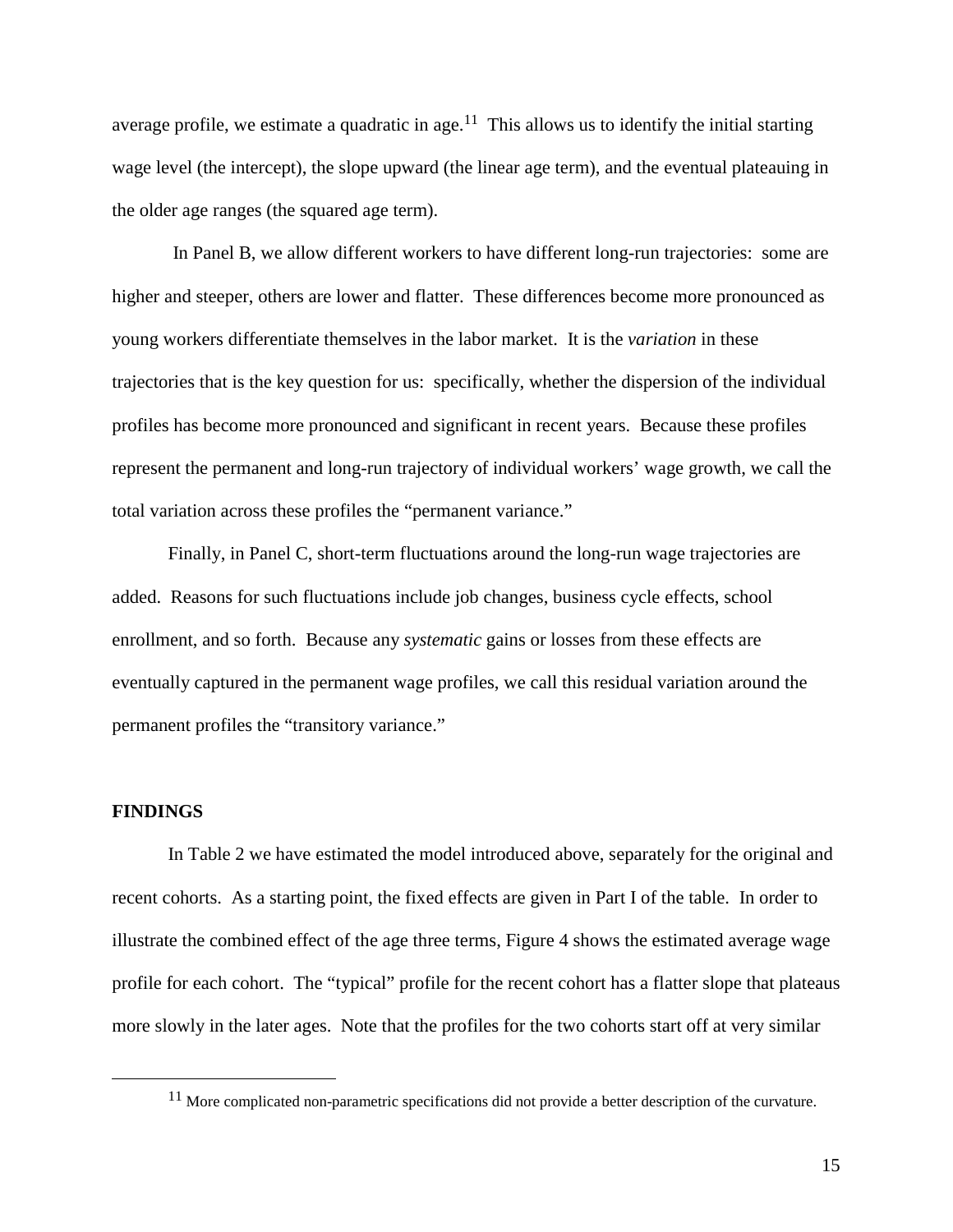average profile, we estimate a quadratic in age.<sup>11</sup> This allows us to identify the initial starting wage level (the intercept), the slope upward (the linear age term), and the eventual plateauing in the older age ranges (the squared age term).

 In Panel B, we allow different workers to have different long-run trajectories: some are higher and steeper, others are lower and flatter. These differences become more pronounced as young workers differentiate themselves in the labor market. It is the *variation* in these trajectories that is the key question for us: specifically, whether the dispersion of the individual profiles has become more pronounced and significant in recent years. Because these profiles represent the permanent and long-run trajectory of individual workers' wage growth, we call the total variation across these profiles the "permanent variance."

Finally, in Panel C, short-term fluctuations around the long-run wage trajectories are added. Reasons for such fluctuations include job changes, business cycle effects, school enrollment, and so forth. Because any *systematic* gains or losses from these effects are eventually captured in the permanent wage profiles, we call this residual variation around the permanent profiles the "transitory variance."

### **FINDINGS**

In Table 2 we have estimated the model introduced above, separately for the original and recent cohorts. As a starting point, the fixed effects are given in Part I of the table. In order to illustrate the combined effect of the age three terms, Figure 4 shows the estimated average wage profile for each cohort. The "typical" profile for the recent cohort has a flatter slope that plateaus more slowly in the later ages. Note that the profiles for the two cohorts start off at very similar

 $11$  More complicated non-parametric specifications did not provide a better description of the curvature.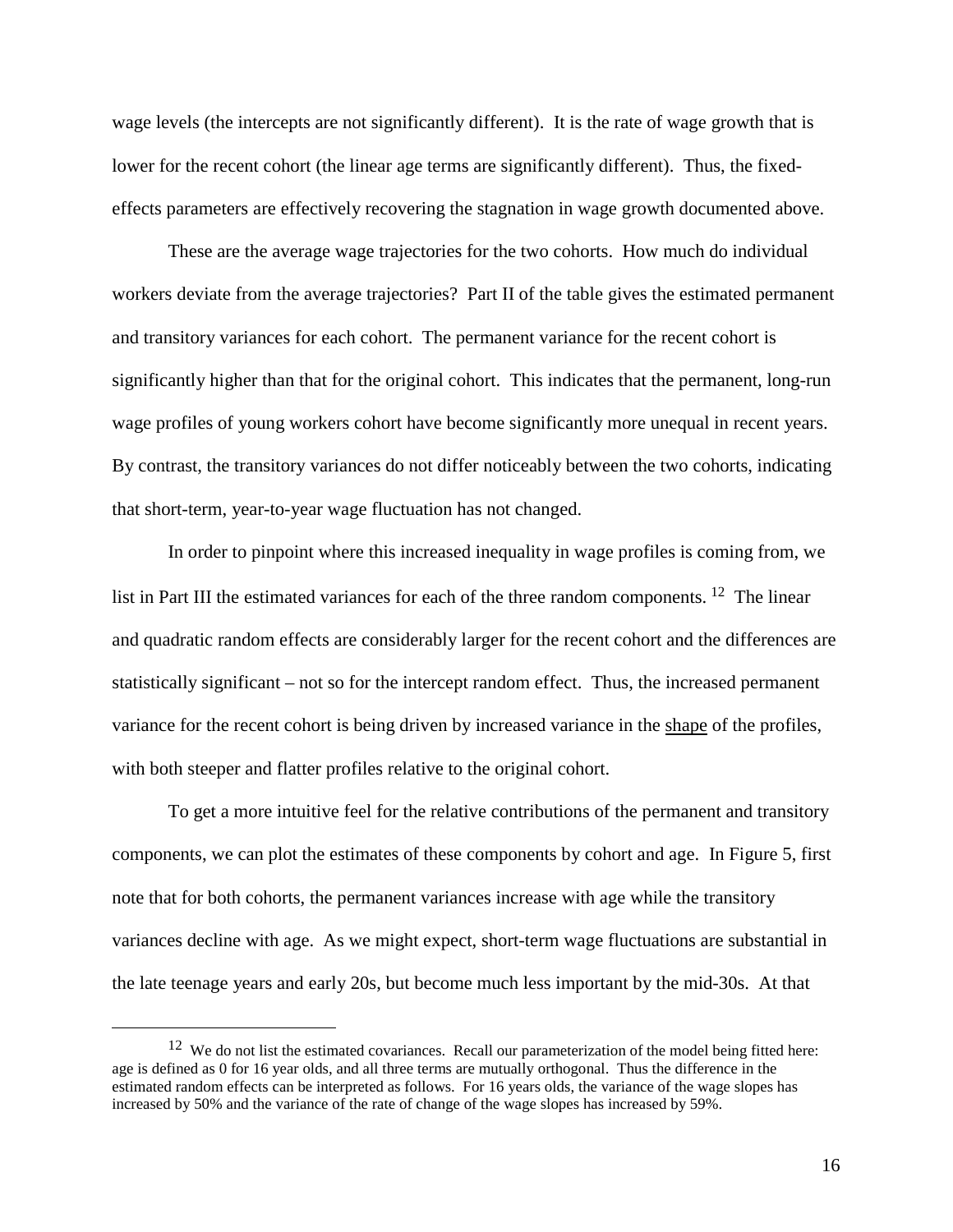wage levels (the intercepts are not significantly different). It is the rate of wage growth that is lower for the recent cohort (the linear age terms are significantly different). Thus, the fixedeffects parameters are effectively recovering the stagnation in wage growth documented above.

These are the average wage trajectories for the two cohorts. How much do individual workers deviate from the average trajectories? Part II of the table gives the estimated permanent and transitory variances for each cohort. The permanent variance for the recent cohort is significantly higher than that for the original cohort. This indicates that the permanent, long-run wage profiles of young workers cohort have become significantly more unequal in recent years. By contrast, the transitory variances do not differ noticeably between the two cohorts, indicating that short-term, year-to-year wage fluctuation has not changed.

In order to pinpoint where this increased inequality in wage profiles is coming from, we list in Part III the estimated variances for each of the three random components. <sup>12</sup> The linear and quadratic random effects are considerably larger for the recent cohort and the differences are statistically significant – not so for the intercept random effect. Thus, the increased permanent variance for the recent cohort is being driven by increased variance in the shape of the profiles, with both steeper and flatter profiles relative to the original cohort.

To get a more intuitive feel for the relative contributions of the permanent and transitory components, we can plot the estimates of these components by cohort and age. In Figure 5, first note that for both cohorts, the permanent variances increase with age while the transitory variances decline with age. As we might expect, short-term wage fluctuations are substantial in the late teenage years and early 20s, but become much less important by the mid-30s. At that

 $12$  We do not list the estimated covariances. Recall our parameterization of the model being fitted here: age is defined as 0 for 16 year olds, and all three terms are mutually orthogonal. Thus the difference in the estimated random effects can be interpreted as follows. For 16 years olds, the variance of the wage slopes has increased by 50% and the variance of the rate of change of the wage slopes has increased by 59%.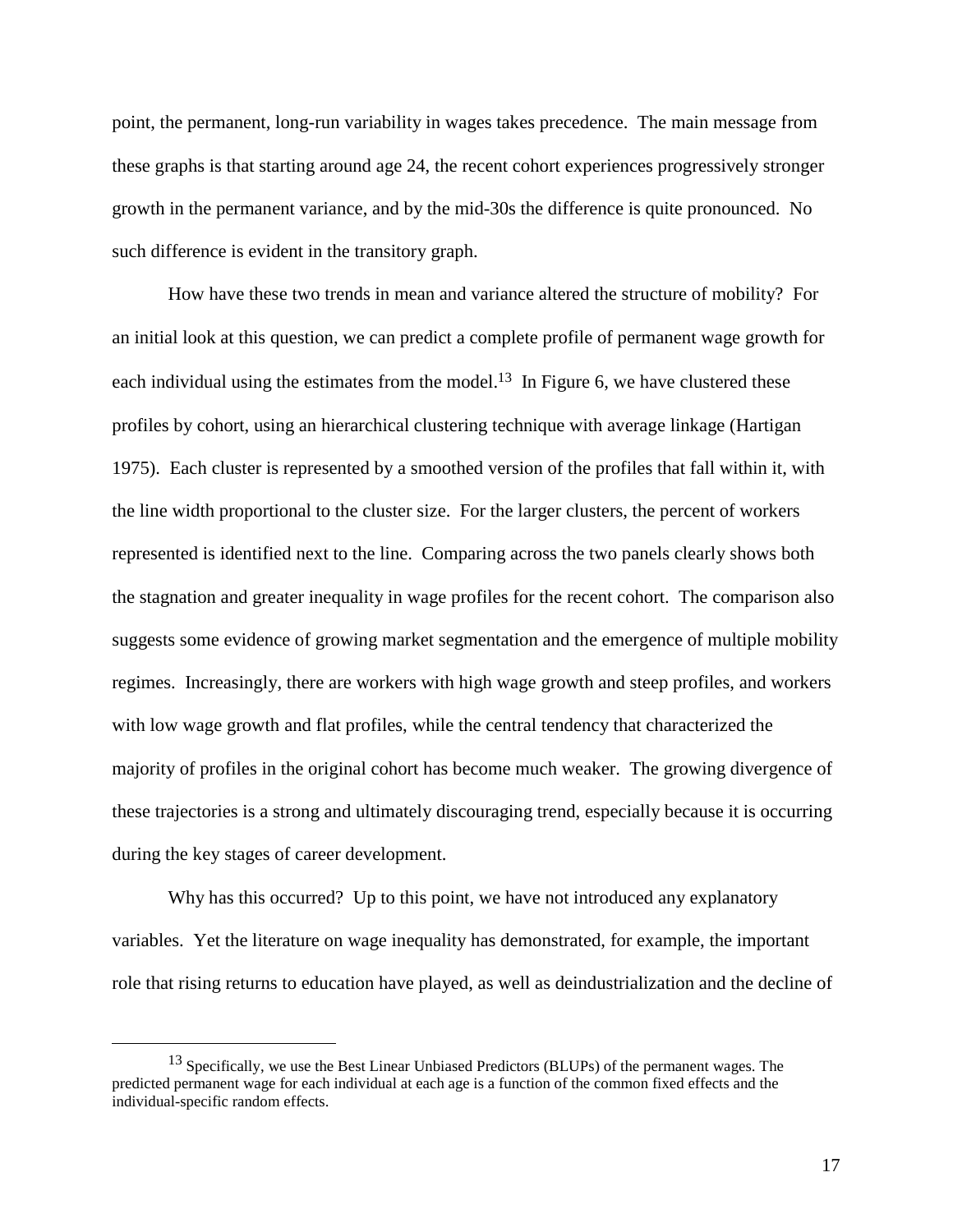point, the permanent, long-run variability in wages takes precedence. The main message from these graphs is that starting around age 24, the recent cohort experiences progressively stronger growth in the permanent variance, and by the mid-30s the difference is quite pronounced. No such difference is evident in the transitory graph.

How have these two trends in mean and variance altered the structure of mobility? For an initial look at this question, we can predict a complete profile of permanent wage growth for each individual using the estimates from the model.<sup>13</sup> In Figure 6, we have clustered these profiles by cohort, using an hierarchical clustering technique with average linkage (Hartigan 1975). Each cluster is represented by a smoothed version of the profiles that fall within it, with the line width proportional to the cluster size. For the larger clusters, the percent of workers represented is identified next to the line. Comparing across the two panels clearly shows both the stagnation and greater inequality in wage profiles for the recent cohort. The comparison also suggests some evidence of growing market segmentation and the emergence of multiple mobility regimes. Increasingly, there are workers with high wage growth and steep profiles, and workers with low wage growth and flat profiles, while the central tendency that characterized the majority of profiles in the original cohort has become much weaker. The growing divergence of these trajectories is a strong and ultimately discouraging trend, especially because it is occurring during the key stages of career development.

Why has this occurred? Up to this point, we have not introduced any explanatory variables. Yet the literature on wage inequality has demonstrated, for example, the important role that rising returns to education have played, as well as deindustrialization and the decline of

<sup>&</sup>lt;sup>13</sup> Specifically, we use the Best Linear Unbiased Predictors (BLUPs) of the permanent wages. The predicted permanent wage for each individual at each age is a function of the common fixed effects and the individual-specific random effects.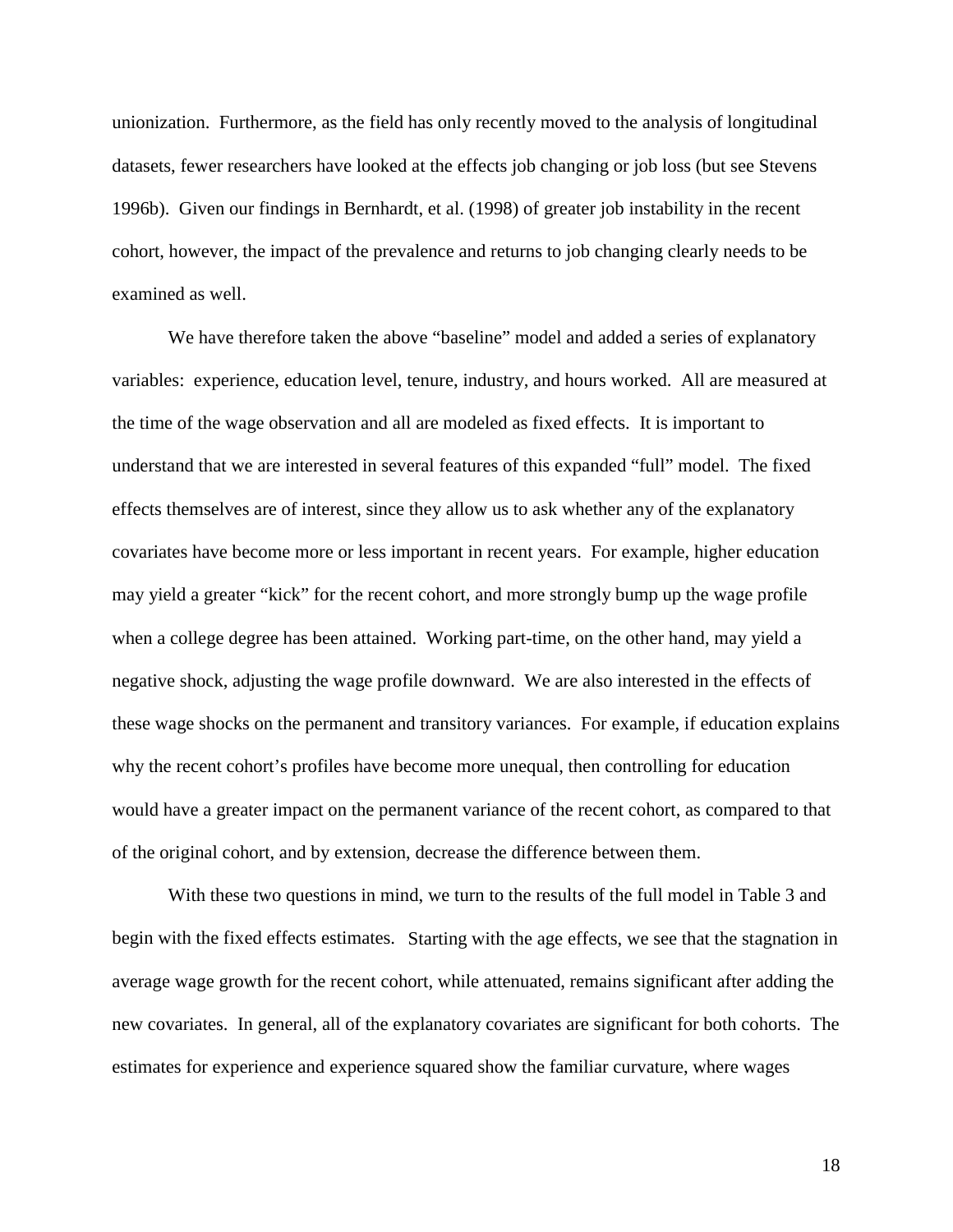unionization. Furthermore, as the field has only recently moved to the analysis of longitudinal datasets, fewer researchers have looked at the effects job changing or job loss (but see Stevens 1996b). Given our findings in Bernhardt, et al. (1998) of greater job instability in the recent cohort, however, the impact of the prevalence and returns to job changing clearly needs to be examined as well.

We have therefore taken the above "baseline" model and added a series of explanatory variables: experience, education level, tenure, industry, and hours worked. All are measured at the time of the wage observation and all are modeled as fixed effects. It is important to understand that we are interested in several features of this expanded "full" model. The fixed effects themselves are of interest, since they allow us to ask whether any of the explanatory covariates have become more or less important in recent years. For example, higher education may yield a greater "kick" for the recent cohort, and more strongly bump up the wage profile when a college degree has been attained. Working part-time, on the other hand, may yield a negative shock, adjusting the wage profile downward. We are also interested in the effects of these wage shocks on the permanent and transitory variances. For example, if education explains why the recent cohort's profiles have become more unequal, then controlling for education would have a greater impact on the permanent variance of the recent cohort, as compared to that of the original cohort, and by extension, decrease the difference between them.

With these two questions in mind, we turn to the results of the full model in Table 3 and begin with the fixed effects estimates. Starting with the age effects, we see that the stagnation in average wage growth for the recent cohort, while attenuated, remains significant after adding the new covariates. In general, all of the explanatory covariates are significant for both cohorts. The estimates for experience and experience squared show the familiar curvature, where wages

18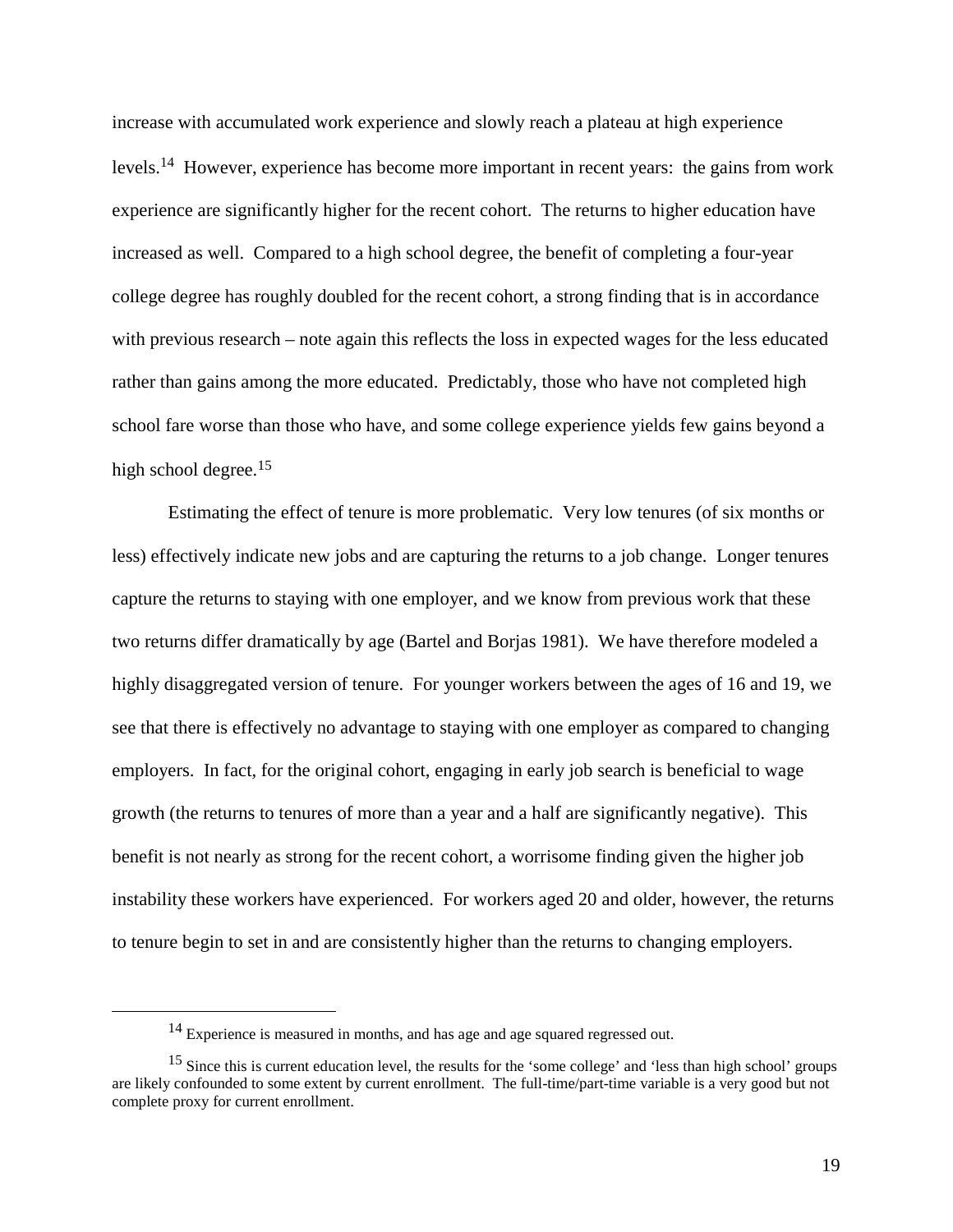increase with accumulated work experience and slowly reach a plateau at high experience levels.14 However, experience has become more important in recent years: the gains from work experience are significantly higher for the recent cohort. The returns to higher education have increased as well. Compared to a high school degree, the benefit of completing a four-year college degree has roughly doubled for the recent cohort, a strong finding that is in accordance with previous research – note again this reflects the loss in expected wages for the less educated rather than gains among the more educated. Predictably, those who have not completed high school fare worse than those who have, and some college experience yields few gains beyond a high school degree.<sup>15</sup>

Estimating the effect of tenure is more problematic. Very low tenures (of six months or less) effectively indicate new jobs and are capturing the returns to a job change. Longer tenures capture the returns to staying with one employer, and we know from previous work that these two returns differ dramatically by age (Bartel and Borjas 1981). We have therefore modeled a highly disaggregated version of tenure. For younger workers between the ages of 16 and 19, we see that there is effectively no advantage to staying with one employer as compared to changing employers. In fact, for the original cohort, engaging in early job search is beneficial to wage growth (the returns to tenures of more than a year and a half are significantly negative). This benefit is not nearly as strong for the recent cohort, a worrisome finding given the higher job instability these workers have experienced. For workers aged 20 and older, however, the returns to tenure begin to set in and are consistently higher than the returns to changing employers.

<sup>&</sup>lt;sup>14</sup> Experience is measured in months, and has age and age squared regressed out.

<sup>&</sup>lt;sup>15</sup> Since this is current education level, the results for the 'some college' and 'less than high school' groups are likely confounded to some extent by current enrollment. The full-time/part-time variable is a very good but not complete proxy for current enrollment.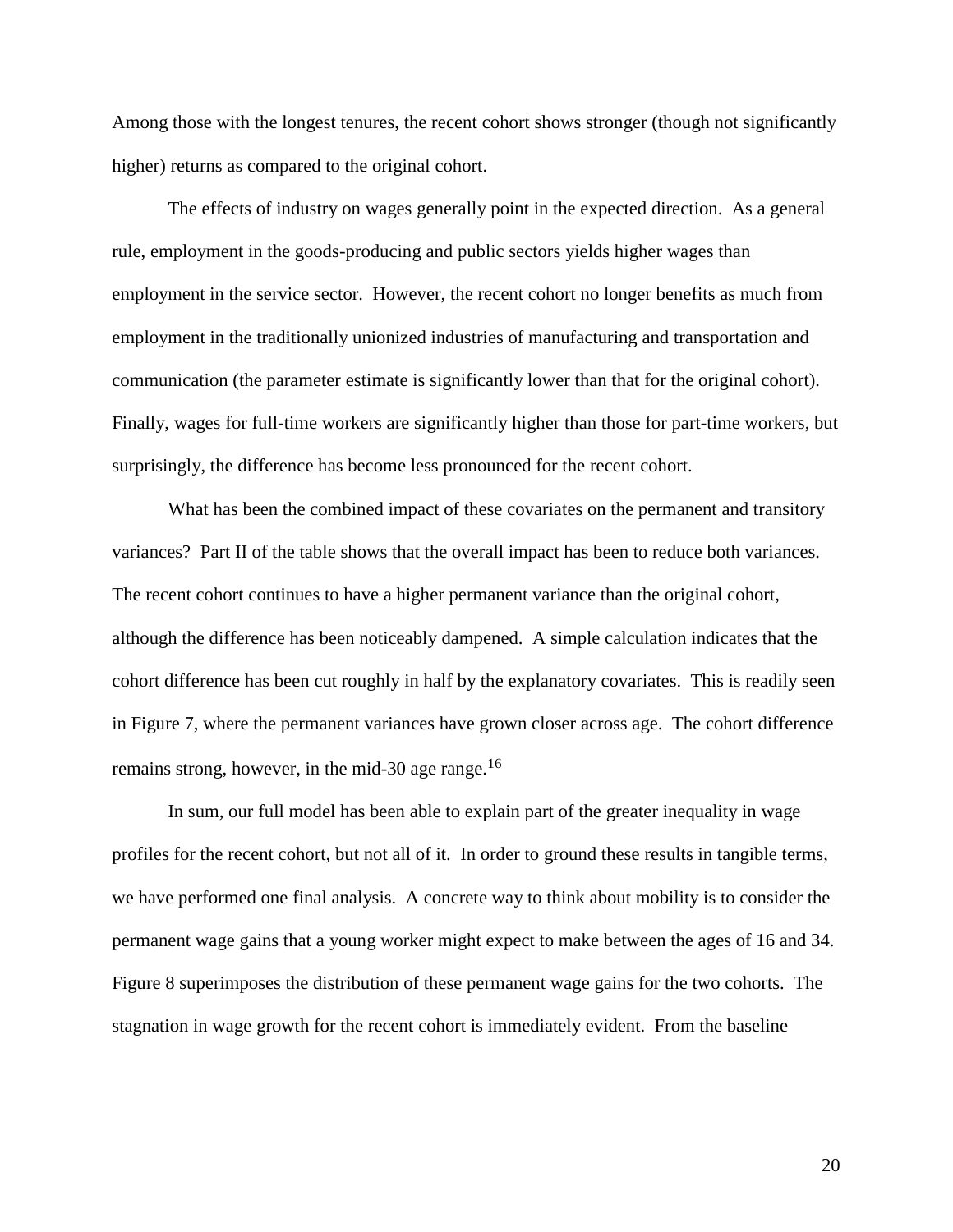Among those with the longest tenures, the recent cohort shows stronger (though not significantly higher) returns as compared to the original cohort.

The effects of industry on wages generally point in the expected direction. As a general rule, employment in the goods-producing and public sectors yields higher wages than employment in the service sector. However, the recent cohort no longer benefits as much from employment in the traditionally unionized industries of manufacturing and transportation and communication (the parameter estimate is significantly lower than that for the original cohort). Finally, wages for full-time workers are significantly higher than those for part-time workers, but surprisingly, the difference has become less pronounced for the recent cohort.

What has been the combined impact of these covariates on the permanent and transitory variances? Part II of the table shows that the overall impact has been to reduce both variances. The recent cohort continues to have a higher permanent variance than the original cohort, although the difference has been noticeably dampened. A simple calculation indicates that the cohort difference has been cut roughly in half by the explanatory covariates. This is readily seen in Figure 7, where the permanent variances have grown closer across age. The cohort difference remains strong, however, in the mid-30 age range.<sup>16</sup>

In sum, our full model has been able to explain part of the greater inequality in wage profiles for the recent cohort, but not all of it. In order to ground these results in tangible terms, we have performed one final analysis. A concrete way to think about mobility is to consider the permanent wage gains that a young worker might expect to make between the ages of 16 and 34. Figure 8 superimposes the distribution of these permanent wage gains for the two cohorts. The stagnation in wage growth for the recent cohort is immediately evident. From the baseline

20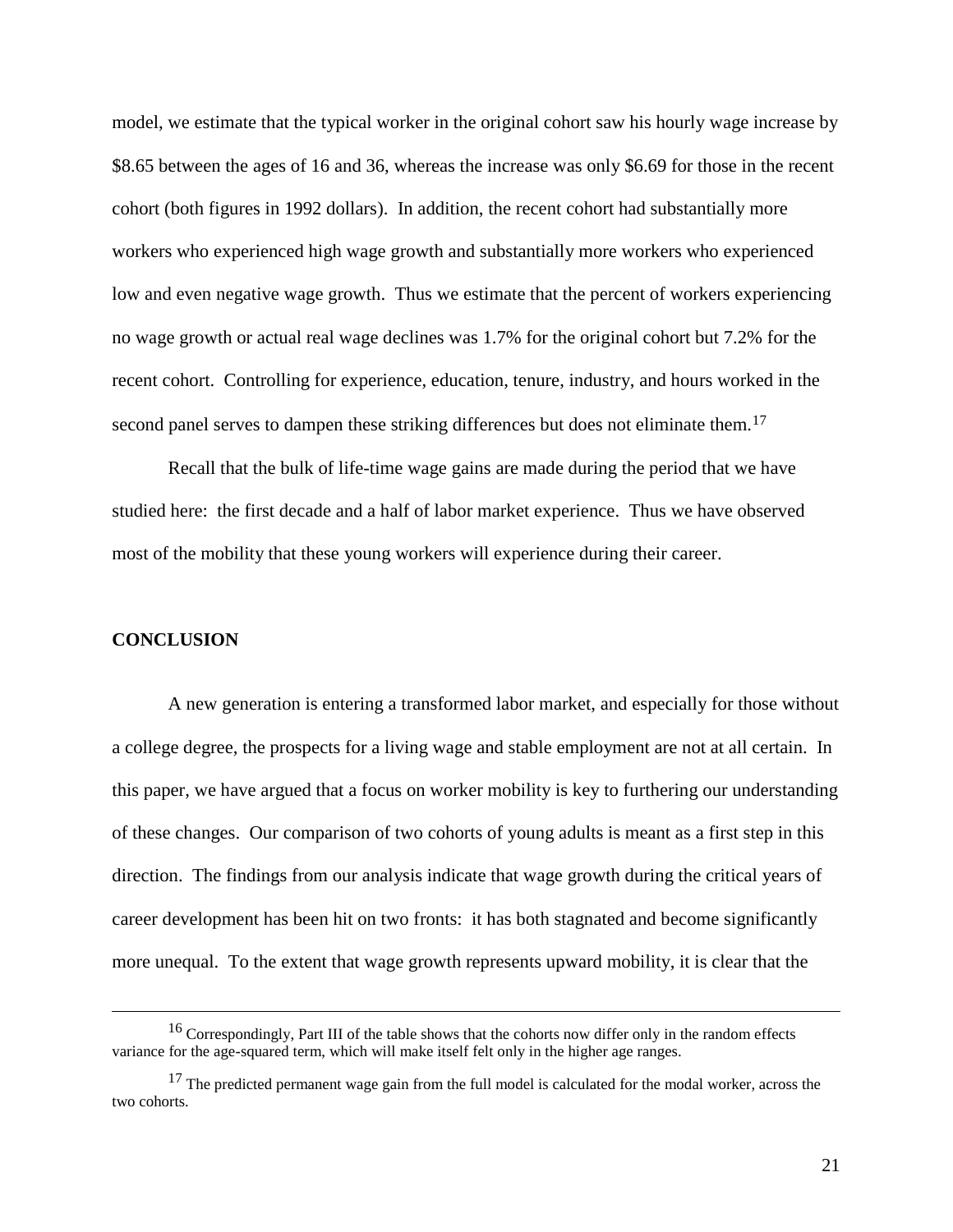model, we estimate that the typical worker in the original cohort saw his hourly wage increase by \$8.65 between the ages of 16 and 36, whereas the increase was only \$6.69 for those in the recent cohort (both figures in 1992 dollars). In addition, the recent cohort had substantially more workers who experienced high wage growth and substantially more workers who experienced low and even negative wage growth. Thus we estimate that the percent of workers experiencing no wage growth or actual real wage declines was 1.7% for the original cohort but 7.2% for the recent cohort. Controlling for experience, education, tenure, industry, and hours worked in the second panel serves to dampen these striking differences but does not eliminate them.<sup>17</sup>

Recall that the bulk of life-time wage gains are made during the period that we have studied here: the first decade and a half of labor market experience. Thus we have observed most of the mobility that these young workers will experience during their career.

#### **CONCLUSION**

A new generation is entering a transformed labor market, and especially for those without a college degree, the prospects for a living wage and stable employment are not at all certain. In this paper, we have argued that a focus on worker mobility is key to furthering our understanding of these changes. Our comparison of two cohorts of young adults is meant as a first step in this direction. The findings from our analysis indicate that wage growth during the critical years of career development has been hit on two fronts: it has both stagnated and become significantly more unequal. To the extent that wage growth represents upward mobility, it is clear that the

<sup>&</sup>lt;sup>16</sup> Correspondingly, Part III of the table shows that the cohorts now differ only in the random effects variance for the age-squared term, which will make itself felt only in the higher age ranges.

<sup>&</sup>lt;sup>17</sup> The predicted permanent wage gain from the full model is calculated for the modal worker, across the two cohorts.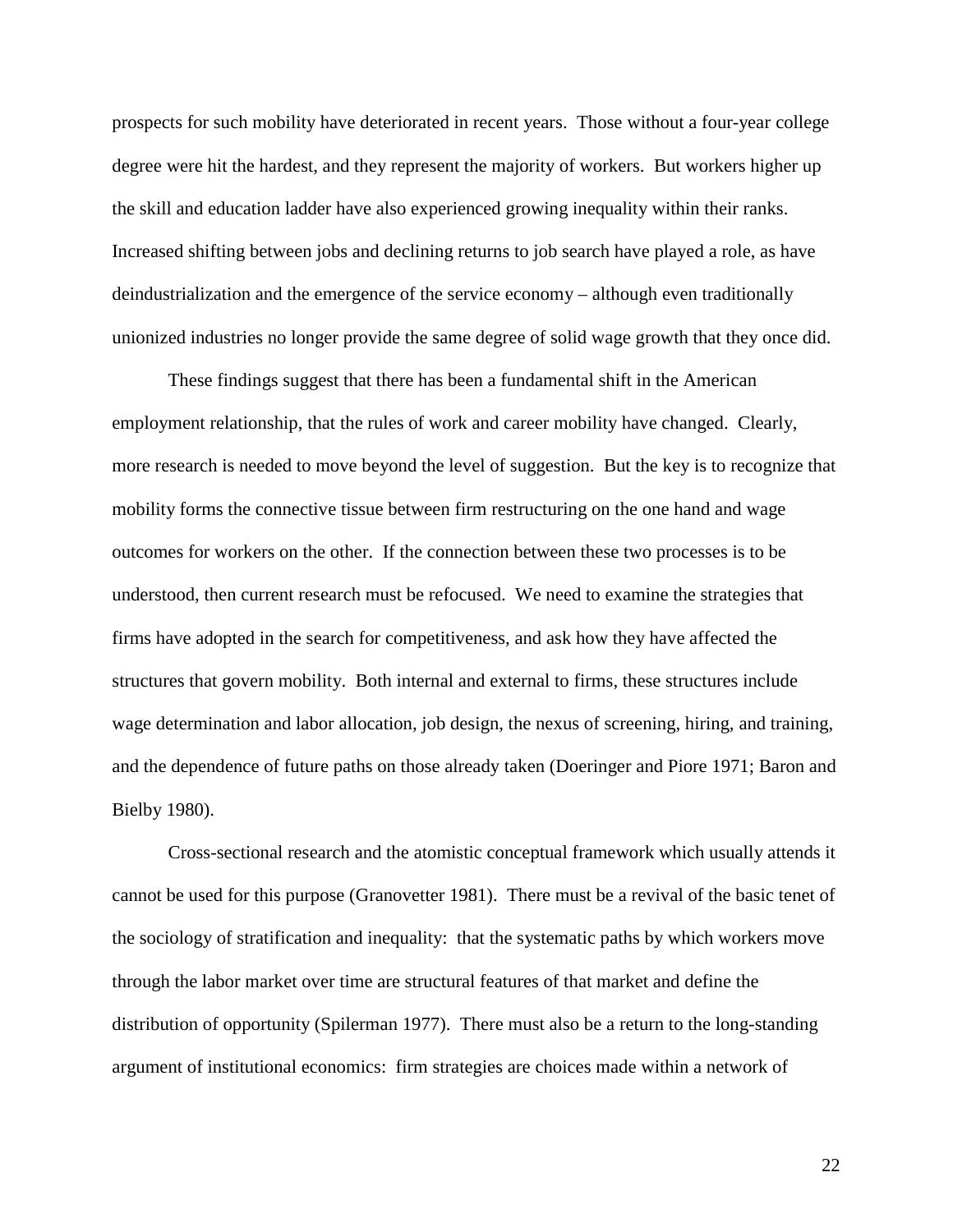prospects for such mobility have deteriorated in recent years. Those without a four-year college degree were hit the hardest, and they represent the majority of workers. But workers higher up the skill and education ladder have also experienced growing inequality within their ranks. Increased shifting between jobs and declining returns to job search have played a role, as have deindustrialization and the emergence of the service economy – although even traditionally unionized industries no longer provide the same degree of solid wage growth that they once did.

These findings suggest that there has been a fundamental shift in the American employment relationship, that the rules of work and career mobility have changed. Clearly, more research is needed to move beyond the level of suggestion. But the key is to recognize that mobility forms the connective tissue between firm restructuring on the one hand and wage outcomes for workers on the other. If the connection between these two processes is to be understood, then current research must be refocused. We need to examine the strategies that firms have adopted in the search for competitiveness, and ask how they have affected the structures that govern mobility. Both internal and external to firms, these structures include wage determination and labor allocation, job design, the nexus of screening, hiring, and training, and the dependence of future paths on those already taken (Doeringer and Piore 1971; Baron and Bielby 1980).

Cross-sectional research and the atomistic conceptual framework which usually attends it cannot be used for this purpose (Granovetter 1981). There must be a revival of the basic tenet of the sociology of stratification and inequality: that the systematic paths by which workers move through the labor market over time are structural features of that market and define the distribution of opportunity (Spilerman 1977). There must also be a return to the long-standing argument of institutional economics: firm strategies are choices made within a network of

22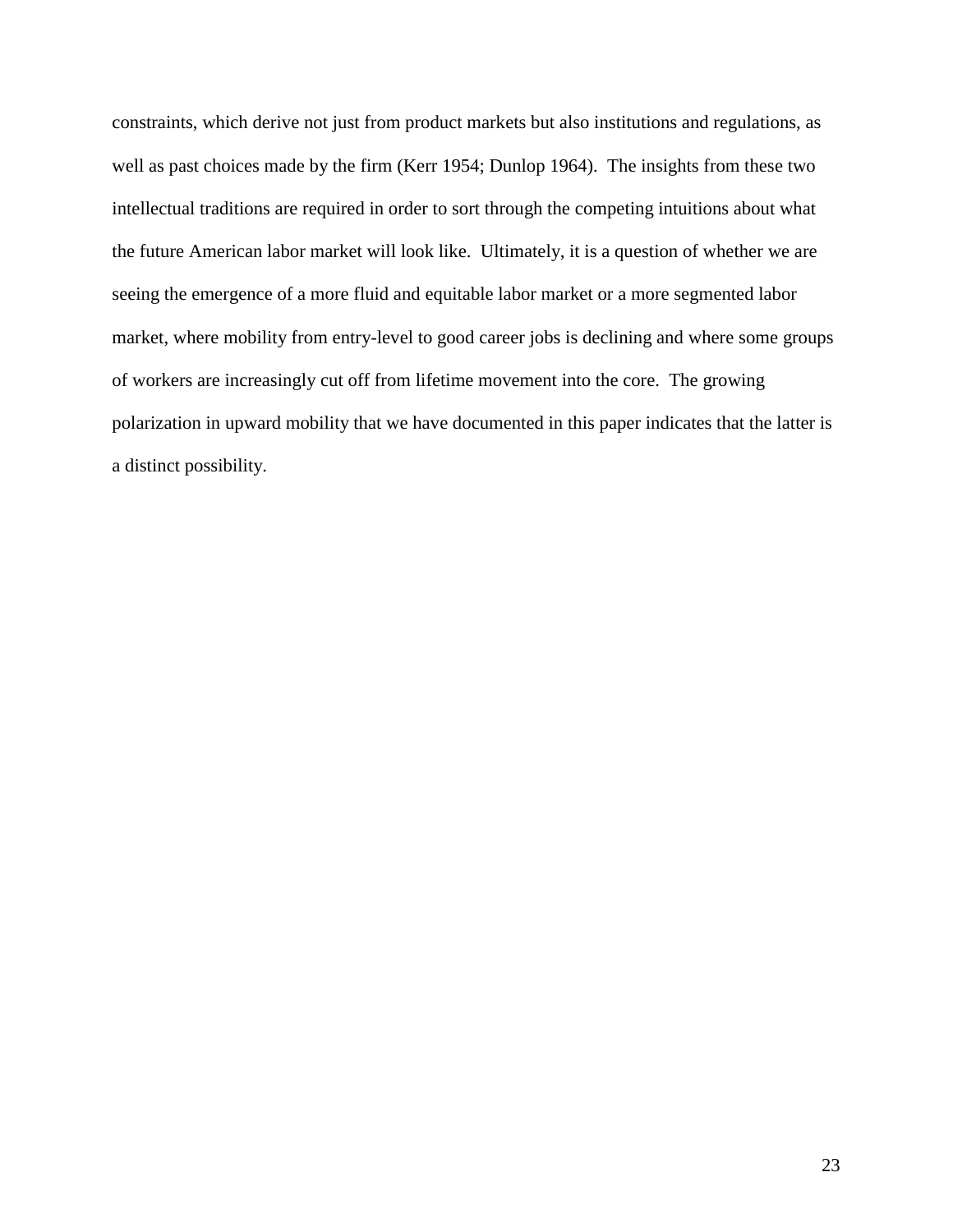constraints, which derive not just from product markets but also institutions and regulations, as well as past choices made by the firm (Kerr 1954; Dunlop 1964). The insights from these two intellectual traditions are required in order to sort through the competing intuitions about what the future American labor market will look like. Ultimately, it is a question of whether we are seeing the emergence of a more fluid and equitable labor market or a more segmented labor market, where mobility from entry-level to good career jobs is declining and where some groups of workers are increasingly cut off from lifetime movement into the core. The growing polarization in upward mobility that we have documented in this paper indicates that the latter is a distinct possibility.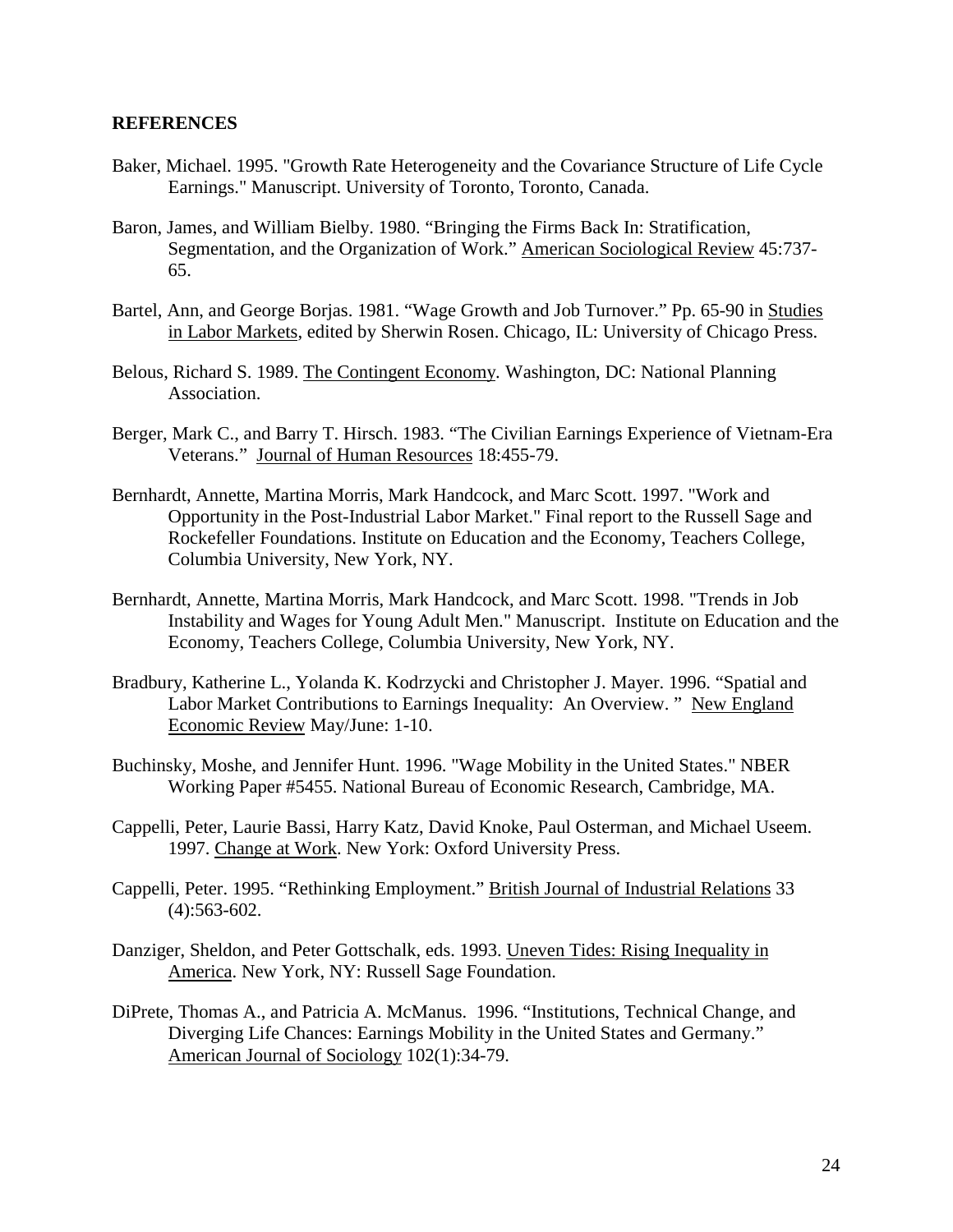### **REFERENCES**

- Baker, Michael. 1995. "Growth Rate Heterogeneity and the Covariance Structure of Life Cycle Earnings." Manuscript. University of Toronto, Toronto, Canada.
- Baron, James, and William Bielby. 1980. "Bringing the Firms Back In: Stratification, Segmentation, and the Organization of Work." American Sociological Review 45:737- 65.
- Bartel, Ann, and George Borjas. 1981. "Wage Growth and Job Turnover." Pp. 65-90 in Studies in Labor Markets, edited by Sherwin Rosen. Chicago, IL: University of Chicago Press.
- Belous, Richard S. 1989. The Contingent Economy. Washington, DC: National Planning Association.
- Berger, Mark C., and Barry T. Hirsch. 1983. "The Civilian Earnings Experience of Vietnam-Era Veterans." Journal of Human Resources 18:455-79.
- Bernhardt, Annette, Martina Morris, Mark Handcock, and Marc Scott. 1997. "Work and Opportunity in the Post-Industrial Labor Market." Final report to the Russell Sage and Rockefeller Foundations. Institute on Education and the Economy, Teachers College, Columbia University, New York, NY.
- Bernhardt, Annette, Martina Morris, Mark Handcock, and Marc Scott. 1998. "Trends in Job Instability and Wages for Young Adult Men." Manuscript. Institute on Education and the Economy, Teachers College, Columbia University, New York, NY.
- Bradbury, Katherine L., Yolanda K. Kodrzycki and Christopher J. Mayer. 1996. "Spatial and Labor Market Contributions to Earnings Inequality: An Overview. " New England Economic Review May/June: 1-10.
- Buchinsky, Moshe, and Jennifer Hunt. 1996. "Wage Mobility in the United States." NBER Working Paper #5455. National Bureau of Economic Research, Cambridge, MA.
- Cappelli, Peter, Laurie Bassi, Harry Katz, David Knoke, Paul Osterman, and Michael Useem. 1997. Change at Work. New York: Oxford University Press.
- Cappelli, Peter. 1995. "Rethinking Employment." British Journal of Industrial Relations 33 (4):563-602.
- Danziger, Sheldon, and Peter Gottschalk, eds. 1993. Uneven Tides: Rising Inequality in America. New York, NY: Russell Sage Foundation.
- DiPrete, Thomas A., and Patricia A. McManus. 1996. "Institutions, Technical Change, and Diverging Life Chances: Earnings Mobility in the United States and Germany." American Journal of Sociology 102(1):34-79.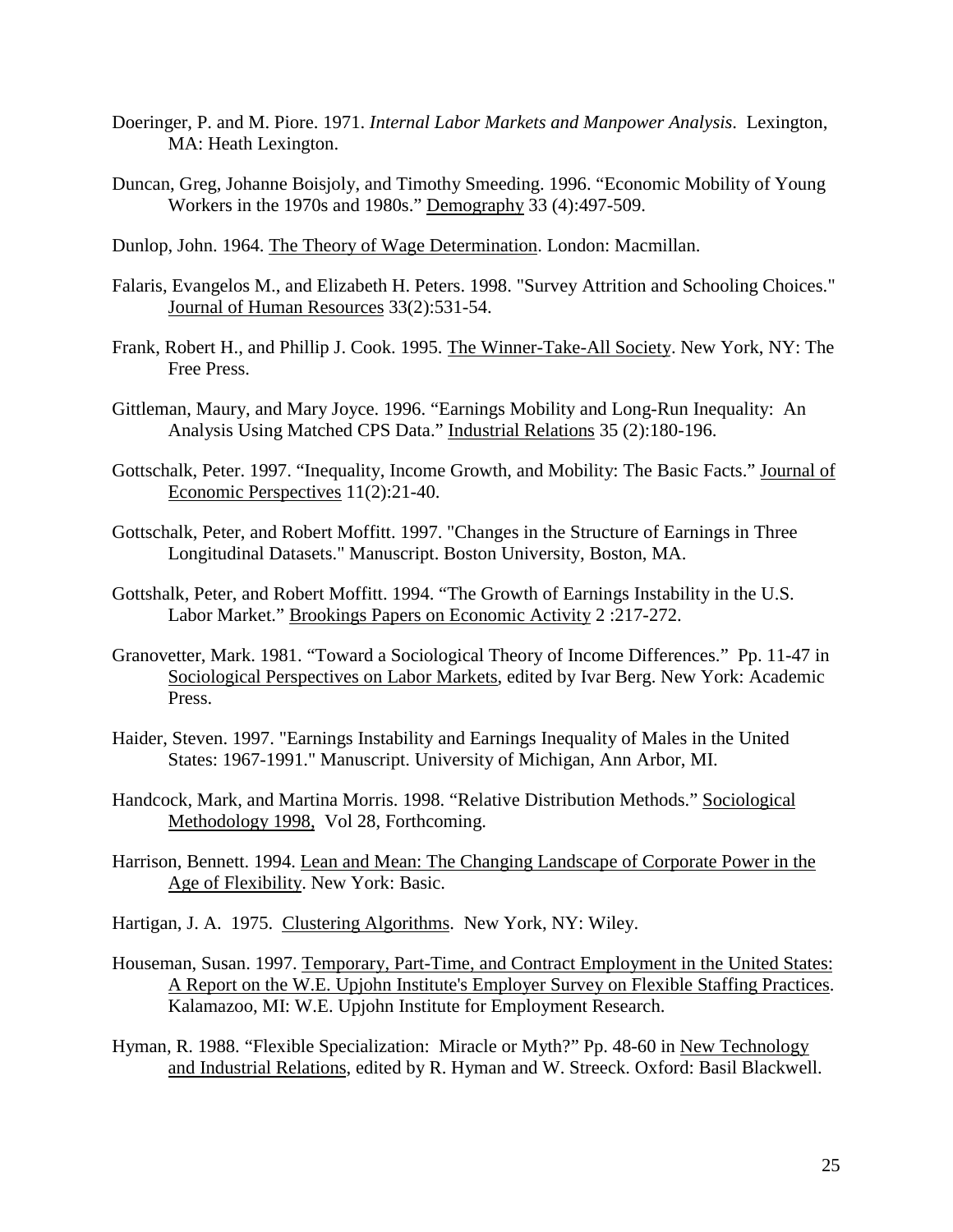- Doeringer, P. and M. Piore. 1971. *Internal Labor Markets and Manpower Analysis*. Lexington, MA: Heath Lexington.
- Duncan, Greg, Johanne Boisjoly, and Timothy Smeeding. 1996. "Economic Mobility of Young Workers in the 1970s and 1980s." Demography 33 (4):497-509.
- Dunlop, John. 1964. The Theory of Wage Determination. London: Macmillan.
- Falaris, Evangelos M., and Elizabeth H. Peters. 1998. "Survey Attrition and Schooling Choices." Journal of Human Resources 33(2):531-54.
- Frank, Robert H., and Phillip J. Cook. 1995. The Winner-Take-All Society. New York, NY: The Free Press.
- Gittleman, Maury, and Mary Joyce. 1996. "Earnings Mobility and Long-Run Inequality: An Analysis Using Matched CPS Data." Industrial Relations 35 (2):180-196.
- Gottschalk, Peter. 1997. "Inequality, Income Growth, and Mobility: The Basic Facts." Journal of Economic Perspectives 11(2):21-40.
- Gottschalk, Peter, and Robert Moffitt. 1997. "Changes in the Structure of Earnings in Three Longitudinal Datasets." Manuscript. Boston University, Boston, MA.
- Gottshalk, Peter, and Robert Moffitt. 1994. "The Growth of Earnings Instability in the U.S. Labor Market." Brookings Papers on Economic Activity 2 :217-272.
- Granovetter, Mark. 1981. "Toward a Sociological Theory of Income Differences." Pp. 11-47 in Sociological Perspectives on Labor Markets, edited by Ivar Berg. New York: Academic Press.
- Haider, Steven. 1997. "Earnings Instability and Earnings Inequality of Males in the United States: 1967-1991." Manuscript. University of Michigan, Ann Arbor, MI.
- Handcock, Mark, and Martina Morris. 1998. "Relative Distribution Methods." Sociological Methodology 1998, Vol 28, Forthcoming.
- Harrison, Bennett. 1994. Lean and Mean: The Changing Landscape of Corporate Power in the Age of Flexibility. New York: Basic.
- Hartigan, J. A. 1975. Clustering Algorithms. New York, NY: Wiley.
- Houseman, Susan. 1997. Temporary, Part-Time, and Contract Employment in the United States: A Report on the W.E. Upjohn Institute's Employer Survey on Flexible Staffing Practices. Kalamazoo, MI: W.E. Upjohn Institute for Employment Research.
- Hyman, R. 1988. "Flexible Specialization: Miracle or Myth?" Pp. 48-60 in New Technology and Industrial Relations, edited by R. Hyman and W. Streeck. Oxford: Basil Blackwell.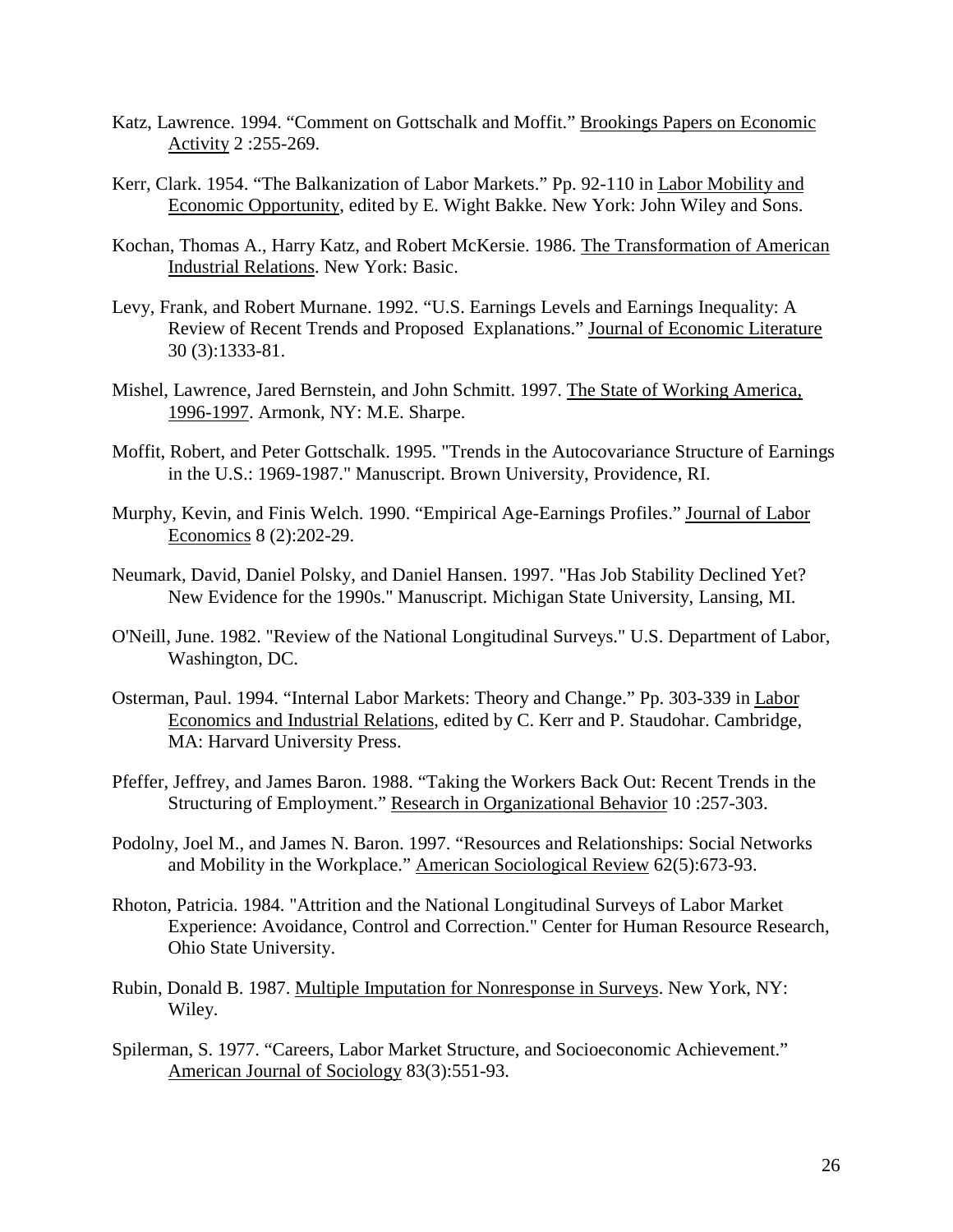- Katz, Lawrence. 1994. "Comment on Gottschalk and Moffit." Brookings Papers on Economic Activity 2 :255-269.
- Kerr, Clark. 1954. "The Balkanization of Labor Markets." Pp. 92-110 in Labor Mobility and Economic Opportunity, edited by E. Wight Bakke. New York: John Wiley and Sons.
- Kochan, Thomas A., Harry Katz, and Robert McKersie. 1986. The Transformation of American Industrial Relations. New York: Basic.
- Levy, Frank, and Robert Murnane. 1992. "U.S. Earnings Levels and Earnings Inequality: A Review of Recent Trends and Proposed Explanations." Journal of Economic Literature 30 (3):1333-81.
- Mishel, Lawrence, Jared Bernstein, and John Schmitt. 1997. The State of Working America, 1996-1997. Armonk, NY: M.E. Sharpe.
- Moffit, Robert, and Peter Gottschalk. 1995. "Trends in the Autocovariance Structure of Earnings in the U.S.: 1969-1987." Manuscript. Brown University, Providence, RI.
- Murphy, Kevin, and Finis Welch. 1990. "Empirical Age-Earnings Profiles." Journal of Labor Economics 8 (2):202-29.
- Neumark, David, Daniel Polsky, and Daniel Hansen. 1997. "Has Job Stability Declined Yet? New Evidence for the 1990s." Manuscript. Michigan State University, Lansing, MI.
- O'Neill, June. 1982. "Review of the National Longitudinal Surveys." U.S. Department of Labor, Washington, DC.
- Osterman, Paul. 1994. "Internal Labor Markets: Theory and Change." Pp. 303-339 in Labor Economics and Industrial Relations, edited by C. Kerr and P. Staudohar. Cambridge, MA: Harvard University Press.
- Pfeffer, Jeffrey, and James Baron. 1988. "Taking the Workers Back Out: Recent Trends in the Structuring of Employment." Research in Organizational Behavior 10 :257-303.
- Podolny, Joel M., and James N. Baron. 1997. "Resources and Relationships: Social Networks and Mobility in the Workplace." American Sociological Review 62(5):673-93.
- Rhoton, Patricia. 1984. "Attrition and the National Longitudinal Surveys of Labor Market Experience: Avoidance, Control and Correction." Center for Human Resource Research, Ohio State University.
- Rubin, Donald B. 1987. Multiple Imputation for Nonresponse in Surveys. New York, NY: Wiley.
- Spilerman, S. 1977. "Careers, Labor Market Structure, and Socioeconomic Achievement." American Journal of Sociology 83(3):551-93.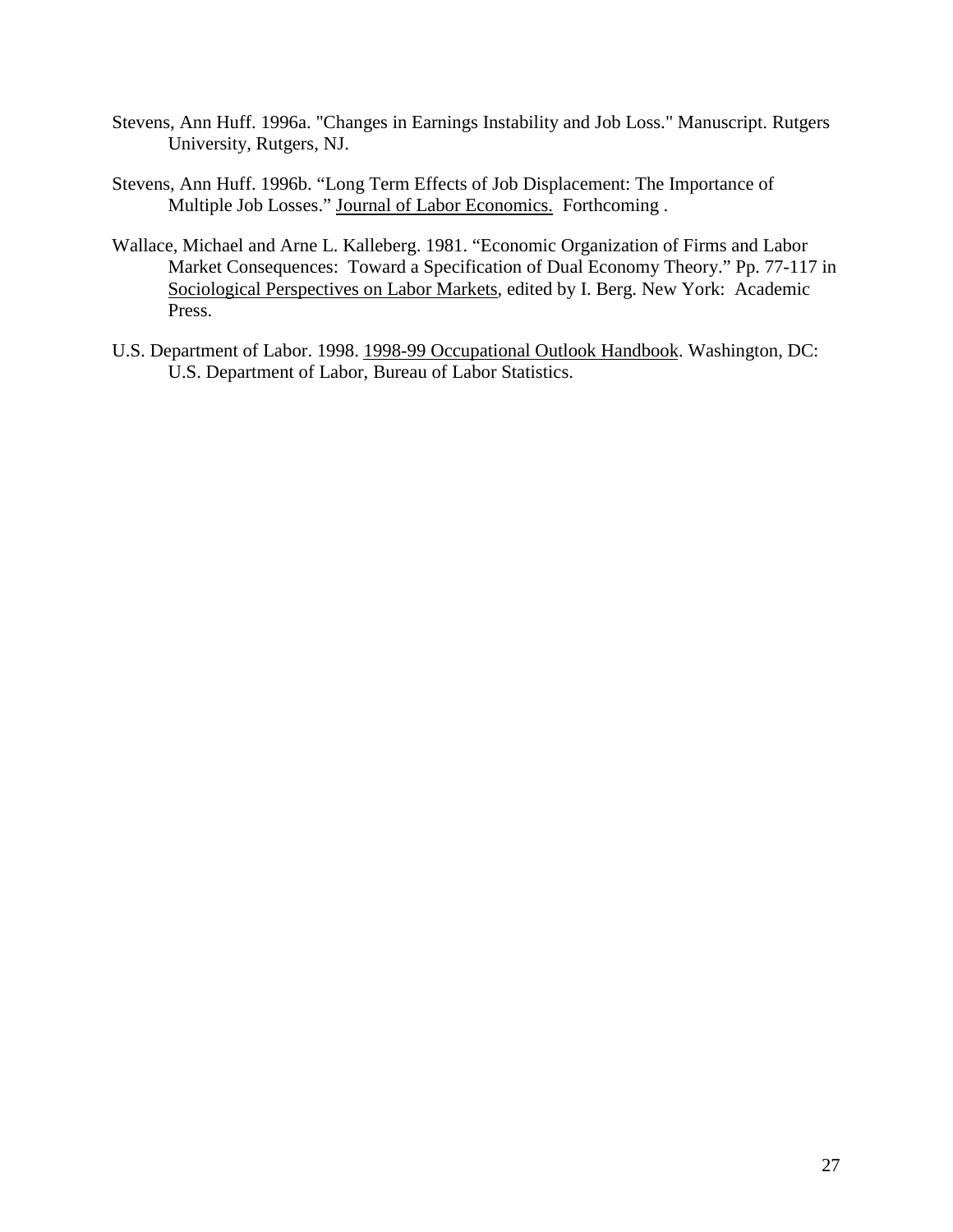- Stevens, Ann Huff. 1996a. "Changes in Earnings Instability and Job Loss." Manuscript. Rutgers University, Rutgers, NJ.
- Stevens, Ann Huff. 1996b. "Long Term Effects of Job Displacement: The Importance of Multiple Job Losses." Journal of Labor Economics. Forthcoming .
- Wallace, Michael and Arne L. Kalleberg. 1981. "Economic Organization of Firms and Labor Market Consequences: Toward a Specification of Dual Economy Theory." Pp. 77-117 in Sociological Perspectives on Labor Markets, edited by I. Berg. New York: Academic Press.
- U.S. Department of Labor. 1998. 1998-99 Occupational Outlook Handbook. Washington, DC: U.S. Department of Labor, Bureau of Labor Statistics.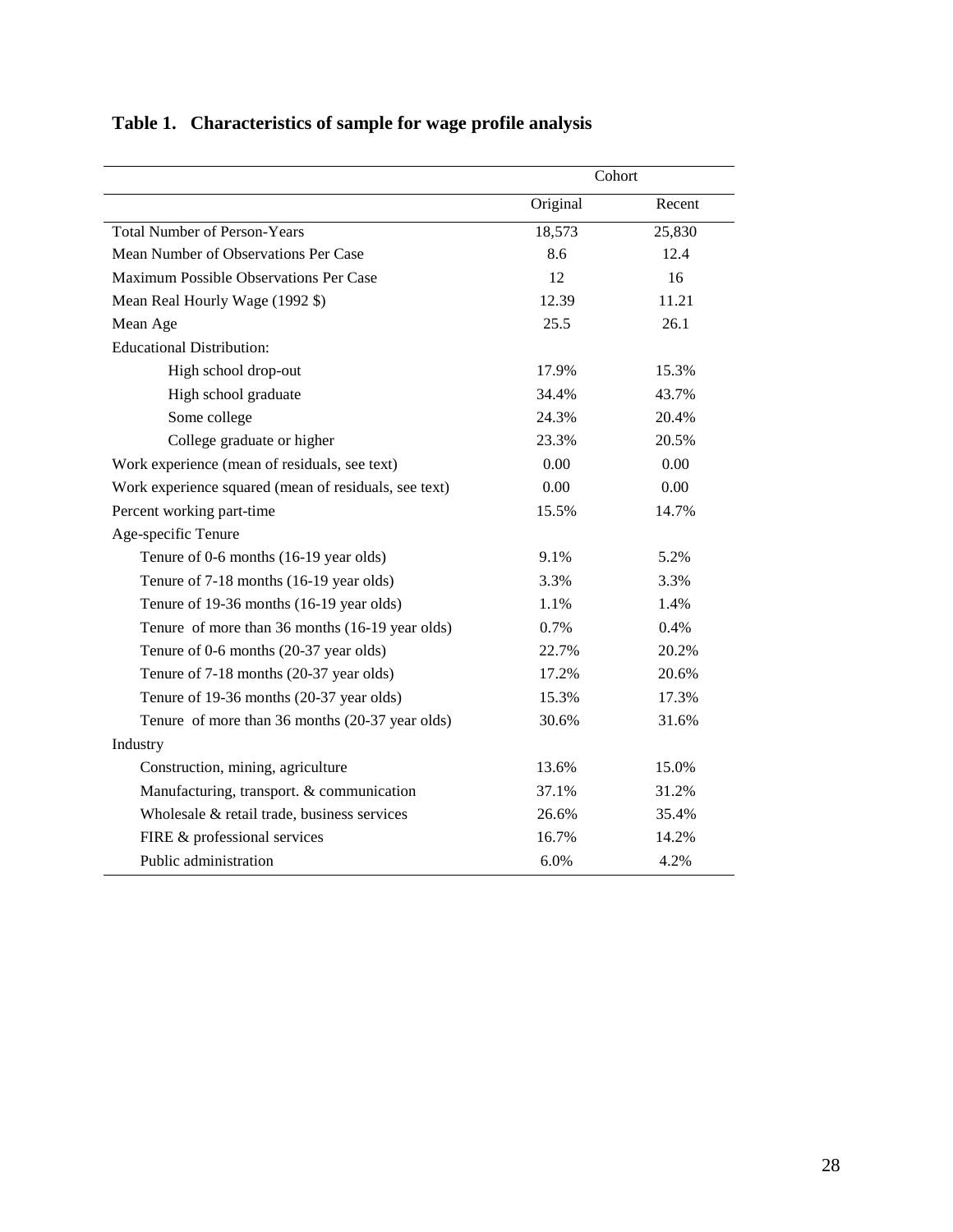|                                                       | Cohort   |        |
|-------------------------------------------------------|----------|--------|
|                                                       | Original | Recent |
| <b>Total Number of Person-Years</b>                   | 18,573   | 25,830 |
| Mean Number of Observations Per Case                  | 8.6      | 12.4   |
| Maximum Possible Observations Per Case                | 12       | 16     |
| Mean Real Hourly Wage (1992 \$)                       | 12.39    | 11.21  |
| Mean Age                                              | 25.5     | 26.1   |
| <b>Educational Distribution:</b>                      |          |        |
| High school drop-out                                  | 17.9%    | 15.3%  |
| High school graduate                                  | 34.4%    | 43.7%  |
| Some college                                          | 24.3%    | 20.4%  |
| College graduate or higher                            | 23.3%    | 20.5%  |
| Work experience (mean of residuals, see text)         | 0.00     | 0.00   |
| Work experience squared (mean of residuals, see text) | 0.00     | 0.00   |
| Percent working part-time                             | 15.5%    | 14.7%  |
| Age-specific Tenure                                   |          |        |
| Tenure of 0-6 months (16-19 year olds)                | 9.1%     | 5.2%   |
| Tenure of 7-18 months (16-19 year olds)               | 3.3%     | 3.3%   |
| Tenure of 19-36 months (16-19 year olds)              | 1.1%     | 1.4%   |
| Tenure of more than 36 months (16-19 year olds)       | 0.7%     | 0.4%   |
| Tenure of 0-6 months (20-37 year olds)                | 22.7%    | 20.2%  |
| Tenure of 7-18 months (20-37 year olds)               | 17.2%    | 20.6%  |
| Tenure of 19-36 months (20-37 year olds)              | 15.3%    | 17.3%  |
| Tenure of more than 36 months (20-37 year olds)       | 30.6%    | 31.6%  |
| Industry                                              |          |        |
| Construction, mining, agriculture                     | 13.6%    | 15.0%  |
| Manufacturing, transport. & communication             | 37.1%    | 31.2%  |
| Wholesale & retail trade, business services           | 26.6%    | 35.4%  |
| FIRE & professional services                          | 16.7%    | 14.2%  |
| Public administration                                 | 6.0%     | 4.2%   |

# **Table 1. Characteristics of sample for wage profile analysis**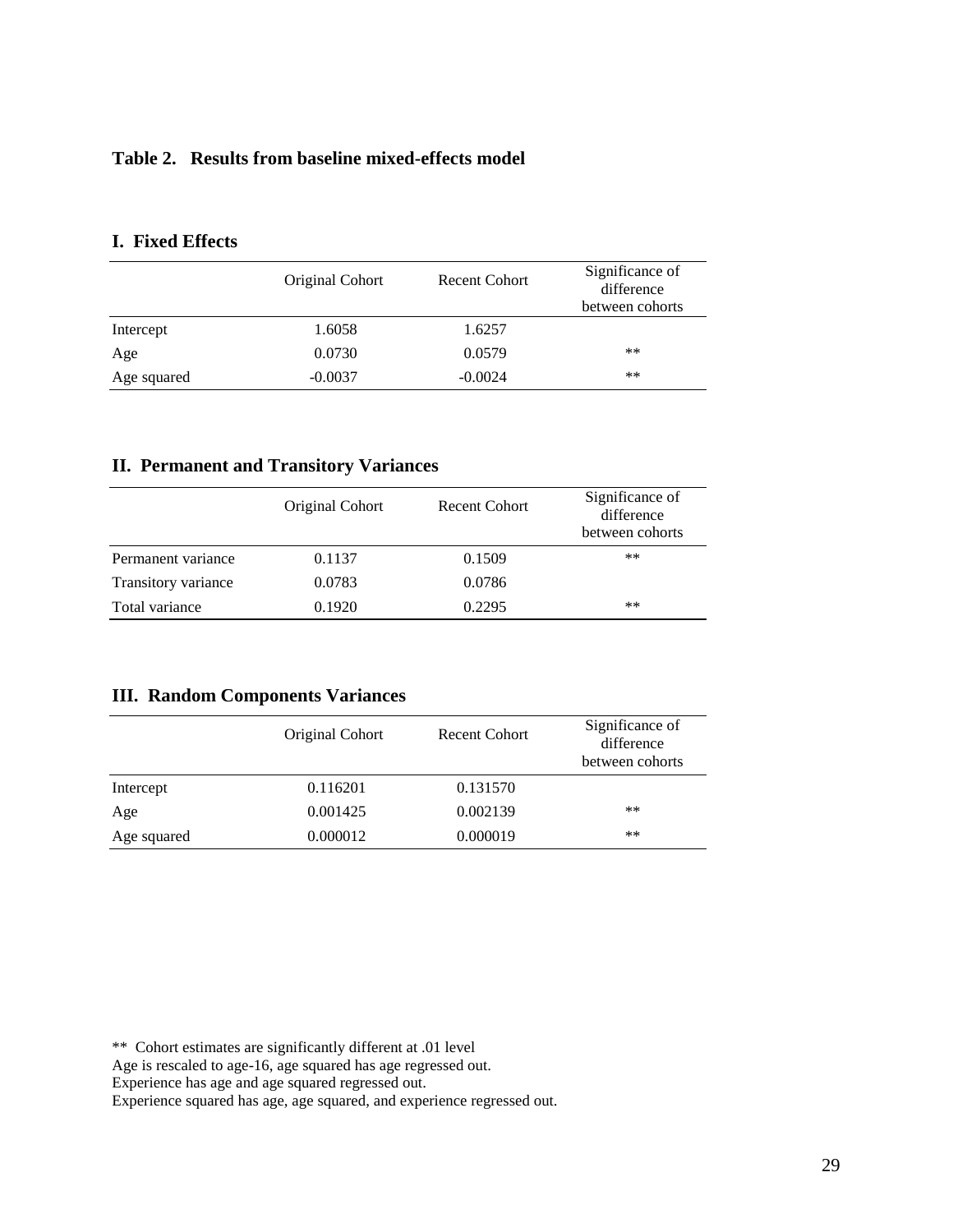## **Table 2. Results from baseline mixed-effects model**

|             | Original Cohort | Recent Cohort | Significance of<br>difference<br>between cohorts |
|-------------|-----------------|---------------|--------------------------------------------------|
| Intercept   | 1.6058          | 1.6257        |                                                  |
| Age         | 0.0730          | 0.0579        | $***$                                            |
| Age squared | $-0.0037$       | $-0.0024$     | $***$                                            |

## **I. Fixed Effects**

## **II. Permanent and Transitory Variances**

|                     | Original Cohort | <b>Recent Cohort</b> | Significance of<br>difference<br>between cohorts |
|---------------------|-----------------|----------------------|--------------------------------------------------|
| Permanent variance  | 0.1137          | 0.1509               | **                                               |
| Transitory variance | 0.0783          | 0.0786               |                                                  |
| Total variance      | 0.1920          | 0.2295               | **                                               |

## **III. Random Components Variances**

|             | Original Cohort | Recent Cohort | Significance of<br>difference<br>between cohorts |
|-------------|-----------------|---------------|--------------------------------------------------|
| Intercept   | 0.116201        | 0.131570      |                                                  |
| Age         | 0.001425        | 0.002139      | **                                               |
| Age squared | 0.000012        | 0.000019      | $***$                                            |

\*\* Cohort estimates are significantly different at .01 level

Age is rescaled to age-16, age squared has age regressed out.

Experience has age and age squared regressed out.

Experience squared has age, age squared, and experience regressed out.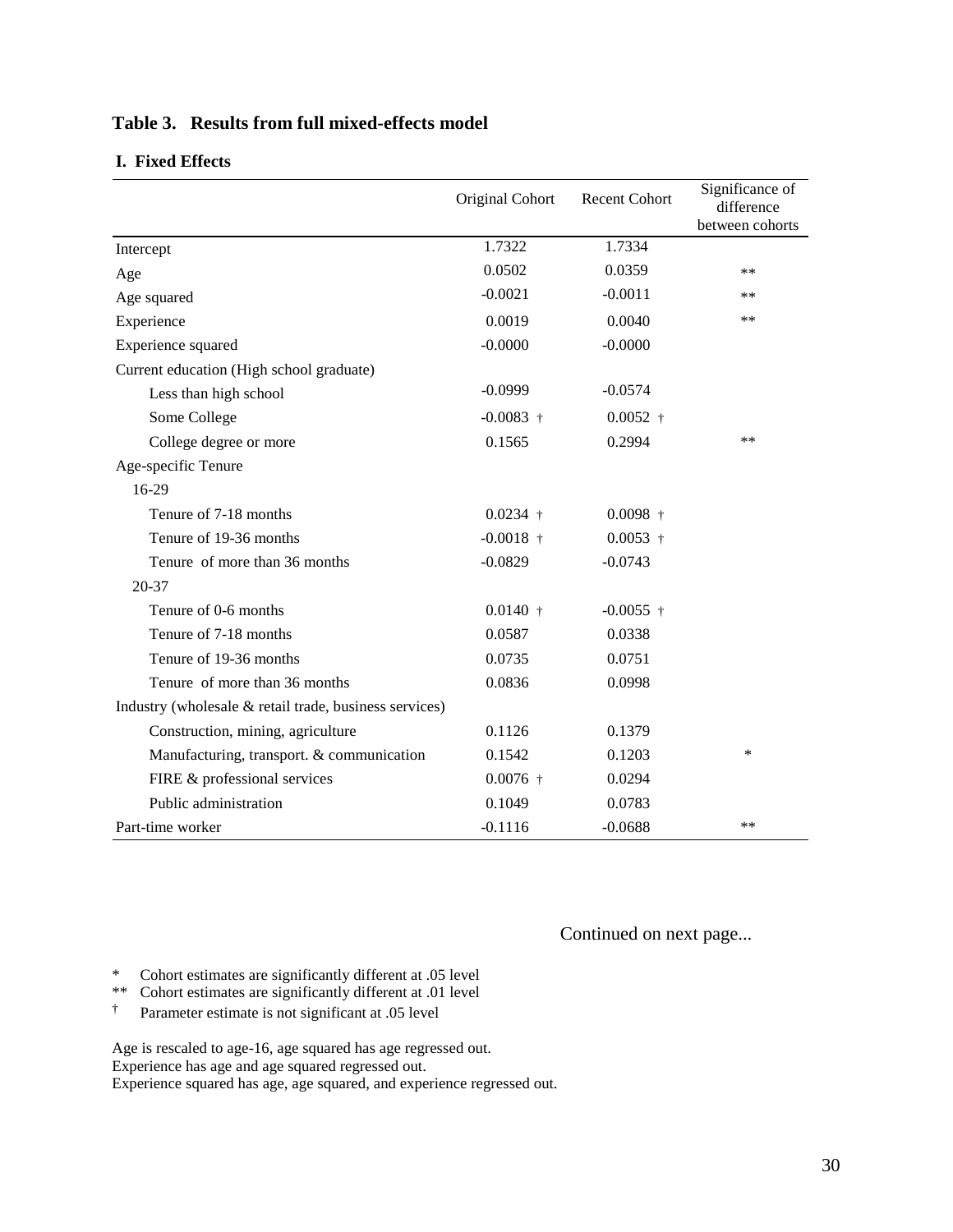|                                                        | Original Cohort | <b>Recent Cohort</b> | Significance of<br>difference<br>between cohorts |
|--------------------------------------------------------|-----------------|----------------------|--------------------------------------------------|
| Intercept                                              | 1.7322          | 1.7334               |                                                  |
| Age                                                    | 0.0502          | 0.0359               | **                                               |
| Age squared                                            | $-0.0021$       | $-0.0011$            | **                                               |
| Experience                                             | 0.0019          | 0.0040               | **                                               |
| Experience squared                                     | $-0.0000$       | $-0.0000$            |                                                  |
| Current education (High school graduate)               |                 |                      |                                                  |
| Less than high school                                  | $-0.0999$       | $-0.0574$            |                                                  |
| Some College                                           | $-0.0083$ †     | $0.0052 +$           |                                                  |
| College degree or more                                 | 0.1565          | 0.2994               | **                                               |
| Age-specific Tenure                                    |                 |                      |                                                  |
| 16-29                                                  |                 |                      |                                                  |
| Tenure of 7-18 months                                  | $0.0234 +$      | $0.0098$ †           |                                                  |
| Tenure of 19-36 months                                 | $-0.0018$ †     | $0.0053$ †           |                                                  |
| Tenure of more than 36 months                          | $-0.0829$       | $-0.0743$            |                                                  |
| 20-37                                                  |                 |                      |                                                  |
| Tenure of 0-6 months                                   | $0.0140 +$      | $-0.0055$ †          |                                                  |
| Tenure of 7-18 months                                  | 0.0587          | 0.0338               |                                                  |
| Tenure of 19-36 months                                 | 0.0735          | 0.0751               |                                                  |
| Tenure of more than 36 months                          | 0.0836          | 0.0998               |                                                  |
| Industry (wholesale & retail trade, business services) |                 |                      |                                                  |
| Construction, mining, agriculture                      | 0.1126          | 0.1379               |                                                  |
| Manufacturing, transport. & communication              | 0.1542          | 0.1203               | *                                                |
| FIRE & professional services                           | $0.0076$ †      | 0.0294               |                                                  |
| Public administration                                  | 0.1049          | 0.0783               |                                                  |
| Part-time worker                                       | $-0.1116$       | $-0.0688$            | **                                               |

## **Table 3. Results from full mixed-effects model**

### **I. Fixed Effects**

Continued on next page...

\* Cohort estimates are significantly different at .05 level

- \*\* Cohort estimates are significantly different at .01 level<br> $\uparrow$  Parameter estimate is not significant at .05 level
- † Parameter estimate is not significant at .05 level

Age is rescaled to age-16, age squared has age regressed out. Experience has age and age squared regressed out. Experience squared has age, age squared, and experience regressed out.